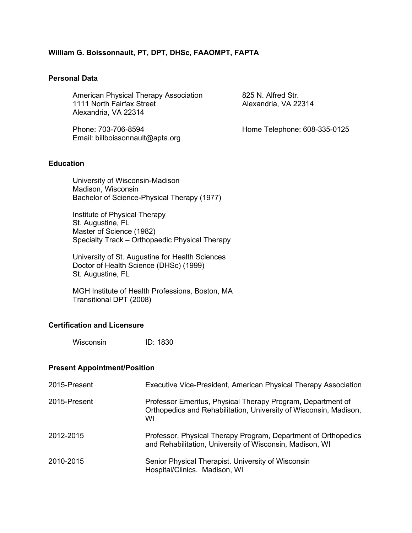## **William G. Boissonnault, PT, DPT, DHSc, FAAOMPT, FAPTA**

#### **Personal Data**

American Physical Therapy Association 825 N. Alfred Str.<br>1111 North Fairfax Street 61 Alexandria, VA 22314 1111 North Fairfax Street Alexandria, VA 22314

Phone: 703-706-8594 Home Telephone: 608-335-0125 Email: billboissonnault@apta.org

## **Education**

University of Wisconsin-Madison Madison, Wisconsin Bachelor of Science-Physical Therapy (1977)

Institute of Physical Therapy St. Augustine, FL Master of Science (1982) Specialty Track – Orthopaedic Physical Therapy

University of St. Augustine for Health Sciences Doctor of Health Science (DHSc) (1999) St. Augustine, FL

MGH Institute of Health Professions, Boston, MA Transitional DPT (2008)

#### **Certification and Licensure**

Wisconsin ID: 1830

#### **Present Appointment/Position**

| 2015-Present | Executive Vice-President, American Physical Therapy Association                                                                        |
|--------------|----------------------------------------------------------------------------------------------------------------------------------------|
| 2015-Present | Professor Emeritus, Physical Therapy Program, Department of<br>Orthopedics and Rehabilitation, University of Wisconsin, Madison,<br>WI |
| 2012-2015    | Professor, Physical Therapy Program, Department of Orthopedics<br>and Rehabilitation, University of Wisconsin, Madison, WI             |
| 2010-2015    | Senior Physical Therapist. University of Wisconsin<br>Hospital/Clinics. Madison, WI                                                    |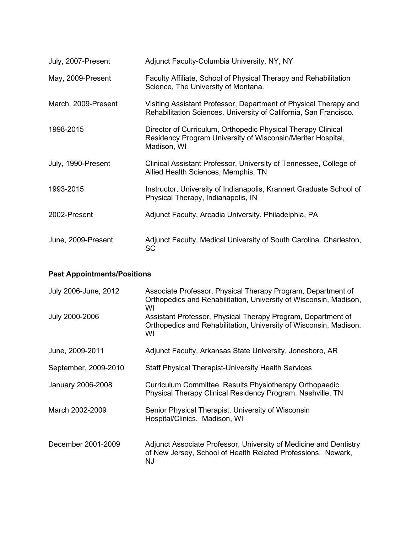| July, 2007-Present  | Adjunct Faculty-Columbia University, NY, NY                                                                                                |
|---------------------|--------------------------------------------------------------------------------------------------------------------------------------------|
| May, 2009-Present   | Faculty Affiliate, School of Physical Therapy and Rehabilitation<br>Science, The University of Montana.                                    |
| March, 2009-Present | Visiting Assistant Professor, Department of Physical Therapy and<br>Rehabilitation Sciences. University of California, San Francisco.      |
| 1998-2015           | Director of Curriculum, Orthopedic Physical Therapy Clinical<br>Residency Program University of Wisconsin/Meriter Hospital,<br>Madison, WI |
| July, 1990-Present  | Clinical Assistant Professor, University of Tennessee, College of<br>Allied Health Sciences, Memphis, TN                                   |
| 1993-2015           | Instructor, University of Indianapolis, Krannert Graduate School of<br>Physical Therapy, Indianapolis, IN                                  |
| 2002-Present        | Adjunct Faculty, Arcadia University. Philadelphia, PA                                                                                      |
| June, 2009-Present  | Adjunct Faculty, Medical University of South Carolina. Charleston,<br>SC                                                                   |

# **Past Appointments/Positions**

| July 2006-June, 2012 | Associate Professor, Physical Therapy Program, Department of<br>Orthopedics and Rehabilitation, University of Wisconsin, Madison,<br>WI |
|----------------------|-----------------------------------------------------------------------------------------------------------------------------------------|
| July 2000-2006       | Assistant Professor, Physical Therapy Program, Department of<br>Orthopedics and Rehabilitation, University of Wisconsin, Madison,<br>WI |
| June, 2009-2011      | Adjunct Faculty, Arkansas State University, Jonesboro, AR                                                                               |
| September, 2009-2010 | <b>Staff Physical Therapist-University Health Services</b>                                                                              |
| January 2006-2008    | Curriculum Committee, Results Physiotherapy Orthopaedic<br>Physical Therapy Clinical Residency Program. Nashville, TN                   |
| March 2002-2009      | Senior Physical Therapist. University of Wisconsin<br>Hospital/Clinics. Madison, WI                                                     |
| December 2001-2009   | Adjunct Associate Professor, University of Medicine and Dentistry<br>of New Jersey, School of Health Related Professions. Newark,<br>NJ |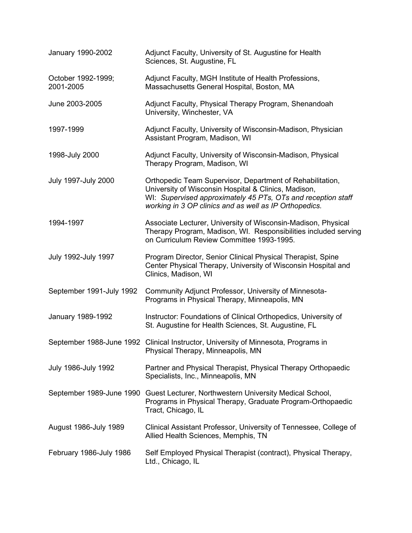| January 1990-2002               | Adjunct Faculty, University of St. Augustine for Health<br>Sciences, St. Augustine, FL                                                                                                                                                      |
|---------------------------------|---------------------------------------------------------------------------------------------------------------------------------------------------------------------------------------------------------------------------------------------|
| October 1992-1999;<br>2001-2005 | Adjunct Faculty, MGH Institute of Health Professions,<br>Massachusetts General Hospital, Boston, MA                                                                                                                                         |
| June 2003-2005                  | Adjunct Faculty, Physical Therapy Program, Shenandoah<br>University, Winchester, VA                                                                                                                                                         |
| 1997-1999                       | Adjunct Faculty, University of Wisconsin-Madison, Physician<br>Assistant Program, Madison, WI                                                                                                                                               |
| 1998-July 2000                  | Adjunct Faculty, University of Wisconsin-Madison, Physical<br>Therapy Program, Madison, WI                                                                                                                                                  |
| July 1997-July 2000             | Orthopedic Team Supervisor, Department of Rehabilitation,<br>University of Wisconsin Hospital & Clinics, Madison,<br>WI: Supervised approximately 45 PTs, OTs and reception staff<br>working in 3 OP clinics and as well as IP Orthopedics. |
| 1994-1997                       | Associate Lecturer, University of Wisconsin-Madison, Physical<br>Therapy Program, Madison, WI. Responsibilities included serving<br>on Curriculum Review Committee 1993-1995.                                                               |
| July 1992-July 1997             | Program Director, Senior Clinical Physical Therapist, Spine<br>Center Physical Therapy, University of Wisconsin Hospital and<br>Clinics, Madison, WI                                                                                        |
| September 1991-July 1992        | Community Adjunct Professor, University of Minnesota-<br>Programs in Physical Therapy, Minneapolis, MN                                                                                                                                      |
| January 1989-1992               | Instructor: Foundations of Clinical Orthopedics, University of<br>St. Augustine for Health Sciences, St. Augustine, FL                                                                                                                      |
|                                 | September 1988-June 1992 Clinical Instructor, University of Minnesota, Programs in<br>Physical Therapy, Minneapolis, MN                                                                                                                     |
| <b>July 1986-July 1992</b>      | Partner and Physical Therapist, Physical Therapy Orthopaedic<br>Specialists, Inc., Minneapolis, MN                                                                                                                                          |
|                                 | September 1989-June 1990 Guest Lecturer, Northwestern University Medical School,<br>Programs in Physical Therapy, Graduate Program-Orthopaedic<br>Tract, Chicago, IL                                                                        |
| August 1986-July 1989           | Clinical Assistant Professor, University of Tennessee, College of<br>Allied Health Sciences, Memphis, TN                                                                                                                                    |
| February 1986-July 1986         | Self Employed Physical Therapist (contract), Physical Therapy,<br>Ltd., Chicago, IL                                                                                                                                                         |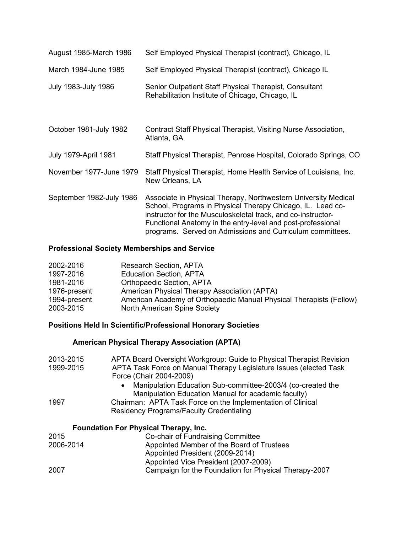| August 1985-March 1986      | Self Employed Physical Therapist (contract), Chicago, IL                                                                                                                                                                                                                                                                 |
|-----------------------------|--------------------------------------------------------------------------------------------------------------------------------------------------------------------------------------------------------------------------------------------------------------------------------------------------------------------------|
| March 1984-June 1985        | Self Employed Physical Therapist (contract), Chicago IL                                                                                                                                                                                                                                                                  |
| July 1983-July 1986         | Senior Outpatient Staff Physical Therapist, Consultant<br>Rehabilitation Institute of Chicago, Chicago, IL                                                                                                                                                                                                               |
| October 1981-July 1982      | Contract Staff Physical Therapist, Visiting Nurse Association,<br>Atlanta, GA                                                                                                                                                                                                                                            |
| <b>July 1979-April 1981</b> | Staff Physical Therapist, Penrose Hospital, Colorado Springs, CO                                                                                                                                                                                                                                                         |
| November 1977-June 1979     | Staff Physical Therapist, Home Health Service of Louisiana, Inc.<br>New Orleans, LA                                                                                                                                                                                                                                      |
| September 1982-July 1986    | Associate in Physical Therapy, Northwestern University Medical<br>School, Programs in Physical Therapy Chicago, IL. Lead co-<br>instructor for the Musculoskeletal track, and co-instructor-<br>Functional Anatomy in the entry-level and post-professional<br>programs. Served on Admissions and Curriculum committees. |

## **Professional Society Memberships and Service**

| 2002-2016    | <b>Research Section, APTA</b>                                       |
|--------------|---------------------------------------------------------------------|
| 1997-2016    | <b>Education Section, APTA</b>                                      |
| 1981-2016    | <b>Orthopaedic Section, APTA</b>                                    |
| 1976-present | American Physical Therapy Association (APTA)                        |
| 1994-present | American Academy of Orthopaedic Manual Physical Therapists (Fellow) |
| 2003-2015    | North American Spine Society                                        |

# **Positions Held In Scientific/Professional Honorary Societies**

# **American Physical Therapy Association (APTA)**

| 2013-2015<br>1999-2015 | APTA Board Oversight Workgroup: Guide to Physical Therapist Revision<br>APTA Task Force on Manual Therapy Legislature Issues (elected Task<br>Force (Chair 2004-2009) |
|------------------------|-----------------------------------------------------------------------------------------------------------------------------------------------------------------------|
|                        | Manipulation Education Sub-committee-2003/4 (co-created the<br>$\bullet$<br>Manipulation Education Manual for academic faculty)                                       |
| 1997                   | Chairman: APTA Task Force on the Implementation of Clinical                                                                                                           |
|                        | <b>Residency Programs/Faculty Credentialing</b>                                                                                                                       |
|                        | <b>Foundation For Physical Therapy, Inc.</b>                                                                                                                          |
| 2015                   | Co-chair of Fundraising Committee                                                                                                                                     |
| 2006-2014              | Appointed Member of the Board of Trustees                                                                                                                             |
|                        | Appointed President (2009-2014)                                                                                                                                       |
|                        | Appointed Vice President (2007-2009)                                                                                                                                  |
| 2007                   | Campaign for the Foundation for Physical Therapy-2007                                                                                                                 |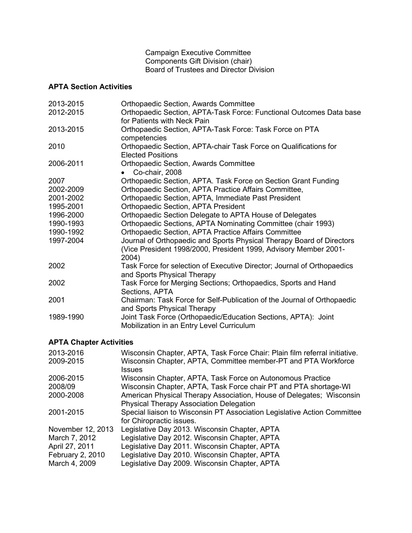Campaign Executive Committee Components Gift Division (chair) Board of Trustees and Director Division

# **APTA Section Activities**

| 2013-2015 | <b>Orthopaedic Section, Awards Committee</b>                            |
|-----------|-------------------------------------------------------------------------|
| 2012-2015 | Orthopaedic Section, APTA-Task Force: Functional Outcomes Data base     |
|           | for Patients with Neck Pain                                             |
| 2013-2015 | Orthopaedic Section, APTA-Task Force: Task Force on PTA                 |
|           | competencies                                                            |
| 2010      | Orthopaedic Section, APTA-chair Task Force on Qualifications for        |
|           | <b>Elected Positions</b>                                                |
| 2006-2011 | <b>Orthopaedic Section, Awards Committee</b>                            |
|           | Co-chair, 2008                                                          |
| 2007      | Orthopaedic Section, APTA. Task Force on Section Grant Funding          |
| 2002-2009 | Orthopaedic Section, APTA Practice Affairs Committee,                   |
| 2001-2002 | Orthopaedic Section, APTA, Immediate Past President                     |
| 1995-2001 | <b>Orthopaedic Section, APTA President</b>                              |
| 1996-2000 | Orthopaedic Section Delegate to APTA House of Delegates                 |
| 1990-1993 | Orthopaedic Sections, APTA Nominating Committee (chair 1993)            |
| 1990-1992 | <b>Orthopaedic Section, APTA Practice Affairs Committee</b>             |
| 1997-2004 | Journal of Orthopaedic and Sports Physical Therapy Board of Directors   |
|           | (Vice President 1998/2000, President 1999, Advisory Member 2001-        |
|           | 2004)                                                                   |
| 2002      | Task Force for selection of Executive Director; Journal of Orthopaedics |
|           | and Sports Physical Therapy                                             |
| 2002      | Task Force for Merging Sections; Orthopaedics, Sports and Hand          |
|           | Sections, APTA                                                          |
| 2001      | Chairman: Task Force for Self-Publication of the Journal of Orthopaedic |
|           | and Sports Physical Therapy                                             |
| 1989-1990 | Joint Task Force (Orthopaedic/Education Sections, APTA): Joint          |
|           | Mobilization in an Entry Level Curriculum                               |

# **APTA Chapter Activities**

| 2013-2016         | Wisconsin Chapter, APTA, Task Force Chair: Plain film referral initiative. |
|-------------------|----------------------------------------------------------------------------|
| 2009-2015         | Wisconsin Chapter, APTA, Committee member-PT and PTA Workforce<br>Issues   |
| 2006-2015         | Wisconsin Chapter, APTA, Task Force on Autonomous Practice                 |
| 2008/09           | Wisconsin Chapter, APTA, Task Force chair PT and PTA shortage-WI           |
| 2000-2008         | American Physical Therapy Association, House of Delegates; Wisconsin       |
|                   | <b>Physical Therapy Association Delegation</b>                             |
| 2001-2015         | Special liaison to Wisconsin PT Association Legislative Action Committee   |
|                   | for Chiropractic issues.                                                   |
| November 12, 2013 | Legislative Day 2013. Wisconsin Chapter, APTA                              |
| March 7, 2012     | Legislative Day 2012. Wisconsin Chapter, APTA                              |
| April 27, 2011    | Legislative Day 2011. Wisconsin Chapter, APTA                              |
| February 2, 2010  | Legislative Day 2010. Wisconsin Chapter, APTA                              |
| March 4, 2009     | Legislative Day 2009. Wisconsin Chapter, APTA                              |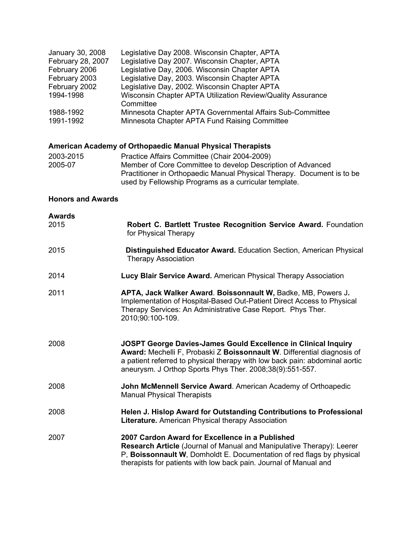| January 30, 2008  | Legislative Day 2008. Wisconsin Chapter, APTA               |
|-------------------|-------------------------------------------------------------|
| February 28, 2007 | Legislative Day 2007. Wisconsin Chapter, APTA               |
| February 2006     | Legislative Day, 2006. Wisconsin Chapter APTA               |
| February 2003     | Legislative Day, 2003. Wisconsin Chapter APTA               |
| February 2002     | Legislative Day, 2002. Wisconsin Chapter APTA               |
| 1994-1998         | Wisconsin Chapter APTA Utilization Review/Quality Assurance |
|                   | Committee                                                   |
| 1988-1992         | Minnesota Chapter APTA Governmental Affairs Sub-Committee   |
| 1991-1992         | Minnesota Chapter APTA Fund Raising Committee               |

# **American Academy of Orthopaedic Manual Physical Therapists**

| 2003-2015 | Practice Affairs Committee (Chair 2004-2009)                           |
|-----------|------------------------------------------------------------------------|
| 2005-07   | Member of Core Committee to develop Description of Advanced            |
|           | Practitioner in Orthopaedic Manual Physical Therapy. Document is to be |
|           | used by Fellowship Programs as a curricular template.                  |

# **Honors and Awards**

| <b>Awards</b><br>2015 | Robert C. Bartlett Trustee Recognition Service Award. Foundation<br>for Physical Therapy                                                                                                                                                                                             |
|-----------------------|--------------------------------------------------------------------------------------------------------------------------------------------------------------------------------------------------------------------------------------------------------------------------------------|
| 2015                  | <b>Distinguished Educator Award.</b> Education Section, American Physical<br><b>Therapy Association</b>                                                                                                                                                                              |
| 2014                  | Lucy Blair Service Award. American Physical Therapy Association                                                                                                                                                                                                                      |
| 2011                  | APTA, Jack Walker Award. Boissonnault W, Badke, MB, Powers J.<br>Implementation of Hospital-Based Out-Patient Direct Access to Physical<br>Therapy Services: An Administrative Case Report. Phys Ther.<br>2010;90:100-109.                                                           |
| 2008                  | JOSPT George Davies-James Gould Excellence in Clinical Inquiry<br>Award: Mechelli F, Probaski Z Boissonnault W. Differential diagnosis of<br>a patient referred to physical therapy with low back pain: abdominal aortic<br>aneurysm. J Orthop Sports Phys Ther. 2008;38(9):551-557. |
| 2008                  | John McMennell Service Award. American Academy of Orthoapedic<br><b>Manual Physical Therapists</b>                                                                                                                                                                                   |
| 2008                  | Helen J. Hislop Award for Outstanding Contributions to Professional<br><b>Literature.</b> American Physical therapy Association                                                                                                                                                      |
| 2007                  | 2007 Cardon Award for Excellence in a Published<br><b>Research Article</b> (Journal of Manual and Manipulative Therapy): Leerer<br>P, Boissonnault W, Domholdt E. Documentation of red flags by physical<br>therapists for patients with low back pain. Journal of Manual and        |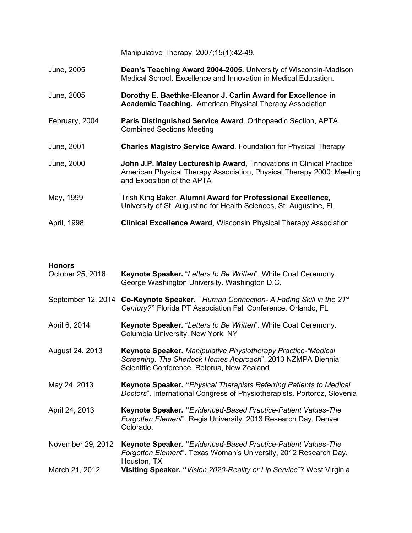Manipulative Therapy. 2007;15(1):42-49.

- June, 2005 **Dean's Teaching Award 2004-2005.** University of Wisconsin-Madison Medical School. Excellence and Innovation in Medical Education.
- June, 2005 **Dorothy E. Baethke-Eleanor J. Carlin Award for Excellence in Academic Teaching.** American Physical Therapy Association
- February, 2004 **Paris Distinguished Service Award**. Orthopaedic Section, APTA. Combined Sections Meeting
- June, 2001 **Charles Magistro Service Award**. Foundation for Physical Therapy
- June, 2000 **John J.P. Maley Lectureship Award,** "Innovations in Clinical Practice" American Physical Therapy Association, Physical Therapy 2000: Meeting and Exposition of the APTA
- May, 1999 Trish King Baker, **Alumni Award for Professional Excellence,** University of St. Augustine for Health Sciences, St. Augustine, FL
- April, 1998 **Clinical Excellence Award**, Wisconsin Physical Therapy Association

#### **Honors**

| October 25, 2016   | Keynote Speaker. "Letters to Be Written". White Coat Ceremony.<br>George Washington University. Washington D.C.                                                              |
|--------------------|------------------------------------------------------------------------------------------------------------------------------------------------------------------------------|
| September 12, 2014 | Co-Keynote Speaker. "Human Connection- A Fading Skill in the 21 <sup>st</sup><br>Century?" Florida PT Association Fall Conference. Orlando, FL                               |
| April 6, 2014      | Keynote Speaker. "Letters to Be Written". White Coat Ceremony.<br>Columbia University. New York, NY                                                                          |
| August 24, 2013    | Keynote Speaker. Manipulative Physiotherapy Practice-"Medical<br>Screening. The Sherlock Homes Approach". 2013 NZMPA Biennial<br>Scientific Conference. Rotorua, New Zealand |
| May 24, 2013       | <b>Keynote Speaker.</b> "Physical Therapists Referring Patients to Medical<br>Doctors". International Congress of Physiotherapists. Portoroz, Slovenia                       |
| April 24, 2013     | Keynote Speaker. "Evidenced-Based Practice-Patient Values-The<br>Forgotten Element". Regis University. 2013 Research Day, Denver<br>Colorado.                                |
| November 29, 2012  | Keynote Speaker. "Evidenced-Based Practice-Patient Values-The<br>Forgotten Element". Texas Woman's University, 2012 Research Day.<br>Houston, TX                             |
| March 21, 2012     | <b>Visiting Speaker. "Vision 2020-Reality or Lip Service"? West Virginia</b>                                                                                                 |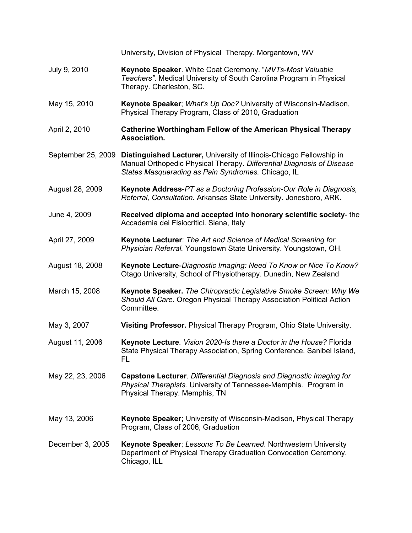|                    | University, Division of Physical Therapy. Morgantown, WV                                                                                                                                            |
|--------------------|-----------------------------------------------------------------------------------------------------------------------------------------------------------------------------------------------------|
| July 9, 2010       | Keynote Speaker. White Coat Ceremony. "MVTs-Most Valuable<br>Teachers". Medical University of South Carolina Program in Physical<br>Therapy. Charleston, SC.                                        |
| May 15, 2010       | Keynote Speaker; What's Up Doc? University of Wisconsin-Madison,<br>Physical Therapy Program, Class of 2010, Graduation                                                                             |
| April 2, 2010      | <b>Catherine Worthingham Fellow of the American Physical Therapy</b><br>Association.                                                                                                                |
| September 25, 2009 | Distinguished Lecturer, University of Illinois-Chicago Fellowship in<br>Manual Orthopedic Physical Therapy. Differential Diagnosis of Disease<br>States Masquerading as Pain Syndromes. Chicago, IL |
| August 28, 2009    | Keynote Address-PT as a Doctoring Profession-Our Role in Diagnosis,<br>Referral, Consultation. Arkansas State University. Jonesboro, ARK.                                                           |
| June 4, 2009       | Received diploma and accepted into honorary scientific society-the<br>Accademia dei Fisiocritici. Siena, Italy                                                                                      |
| April 27, 2009     | Keynote Lecturer: The Art and Science of Medical Screening for<br>Physician Referral. Youngstown State University. Youngstown, OH.                                                                  |
| August 18, 2008    | Keynote Lecture-Diagnostic Imaging: Need To Know or Nice To Know?<br>Otago University, School of Physiotherapy. Dunedin, New Zealand                                                                |
| March 15, 2008     | Keynote Speaker. The Chiropractic Legislative Smoke Screen: Why We<br>Should All Care. Oregon Physical Therapy Association Political Action<br>Committee.                                           |
| May 3, 2007        | Visiting Professor. Physical Therapy Program, Ohio State University.                                                                                                                                |
| August 11, 2006    | Keynote Lecture. Vision 2020-Is there a Doctor in the House? Florida<br>State Physical Therapy Association, Spring Conference. Sanibel Island,<br>FL                                                |
| May 22, 23, 2006   | Capstone Lecturer. Differential Diagnosis and Diagnostic Imaging for<br>Physical Therapists. University of Tennessee-Memphis. Program in<br>Physical Therapy. Memphis, TN                           |
| May 13, 2006       | Keynote Speaker; University of Wisconsin-Madison, Physical Therapy<br>Program, Class of 2006, Graduation                                                                                            |
| December 3, 2005   | Keynote Speaker; Lessons To Be Learned. Northwestern University<br>Department of Physical Therapy Graduation Convocation Ceremony.<br>Chicago, ILL                                                  |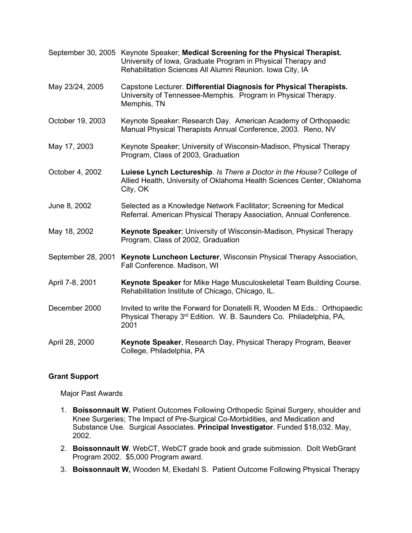|                    | September 30, 2005 Keynote Speaker; Medical Screening for the Physical Therapist.<br>University of Iowa, Graduate Program in Physical Therapy and<br>Rehabilitation Sciences All Alumni Reunion. Iowa City, IA |
|--------------------|----------------------------------------------------------------------------------------------------------------------------------------------------------------------------------------------------------------|
| May 23/24, 2005    | Capstone Lecturer. Differential Diagnosis for Physical Therapists.<br>University of Tennessee-Memphis. Program in Physical Therapy.<br>Memphis, TN                                                             |
| October 19, 2003   | Keynote Speaker: Research Day. American Academy of Orthopaedic<br>Manual Physical Therapists Annual Conference, 2003. Reno, NV                                                                                 |
| May 17, 2003       | Keynote Speaker; University of Wisconsin-Madison, Physical Therapy<br>Program, Class of 2003, Graduation                                                                                                       |
| October 4, 2002    | Luiese Lynch Lectureship. Is There a Doctor in the House? College of<br>Allied Health, University of Oklahoma Health Sciences Center, Oklahoma<br>City, OK                                                     |
| June 8, 2002       | Selected as a Knowledge Network Facilitator; Screening for Medical<br>Referral. American Physical Therapy Association, Annual Conference.                                                                      |
| May 18, 2002       | Keynote Speaker; University of Wisconsin-Madison, Physical Therapy<br>Program, Class of 2002, Graduation                                                                                                       |
| September 28, 2001 | Keynote Luncheon Lecturer, Wisconsin Physical Therapy Association,<br>Fall Conference. Madison, WI                                                                                                             |
| April 7-8, 2001    | Keynote Speaker for Mike Hage Musculoskeletal Team Building Course.<br>Rehabilitation Institute of Chicago, Chicago, IL.                                                                                       |
| December 2000      | Invited to write the Forward for Donatelli R, Wooden M Eds.: Orthopaedic<br>Physical Therapy 3rd Edition. W. B. Saunders Co. Philadelphia, PA,<br>2001                                                         |
| April 28, 2000     | Keynote Speaker, Research Day, Physical Therapy Program, Beaver<br>College, Philadelphia, PA                                                                                                                   |

# **Grant Support**

Major Past Awards

- 1. **Boissonnault W.** Patient Outcomes Following Orthopedic Spinal Surgery, shoulder and Knee Surgeries; The Impact of Pre-Surgical Co-Morbidities, and Medication and Substance Use. Surgical Associates. **Principal Investigator**. Funded \$18,032. May, 2002.
- 2. **Boissonnault W**. WebCT, WebCT grade book and grade submission. Dolt WebGrant Program 2002. \$5,000 Program award.
- 3. **Boissonnault W,** Wooden M, Ekedahl S. Patient Outcome Following Physical Therapy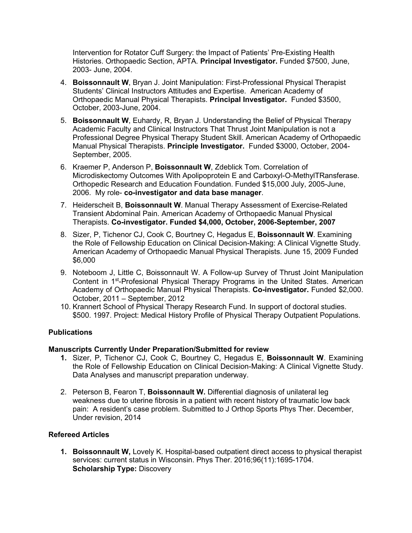Intervention for Rotator Cuff Surgery: the Impact of Patients' Pre-Existing Health Histories. Orthopaedic Section, APTA. **Principal Investigator.** Funded \$7500, June, 2003- June, 2004.

- 4. **Boissonnault W**, Bryan J. Joint Manipulation: First-Professional Physical Therapist Students' Clinical Instructors Attitudes and Expertise. American Academy of Orthopaedic Manual Physical Therapists. **Principal Investigator.** Funded \$3500, October, 2003-June, 2004.
- 5. **Boissonnault W**, Euhardy, R, Bryan J. Understanding the Belief of Physical Therapy Academic Faculty and Clinical Instructors That Thrust Joint Manipulation is not a Professional Degree Physical Therapy Student Skill. American Academy of Orthopaedic Manual Physical Therapists. **Principle Investigator.** Funded \$3000, October, 2004- September, 2005.
- 6. Kraemer P, Anderson P, **Boissonnault W**, Zdeblick Tom. Correlation of Microdiskectomy Outcomes With Apolipoprotein E and Carboxyl-O-MethylTRansferase. Orthopedic Research and Education Foundation. Funded \$15,000 July, 2005-June, 2006. My role- **co-investigator and data base manager**.
- 7. Heiderscheit B, **Boissonnault W**. Manual Therapy Assessment of Exercise-Related Transient Abdominal Pain. American Academy of Orthopaedic Manual Physical Therapists. **Co-investigator. Funded \$4,000, October, 2006-September, 2007**
- 8. Sizer, P, Tichenor CJ, Cook C, Bourtney C, Hegadus E, **Boissonnault W**. Examining the Role of Fellowship Education on Clinical Decision-Making: A Clinical Vignette Study. American Academy of Orthopaedic Manual Physical Therapists. June 15, 2009 Funded \$6,000
- 9. Noteboom J, Little C, Boissonnault W. A Follow-up Survey of Thrust Joint Manipulation Content in 1st-Profesional Physical Therapy Programs in the United States. American Academy of Orthopaedic Manual Physical Therapists. **Co-investigator.** Funded \$2,000. October, 2011 – September, 2012
- 10. Krannert School of Physical Therapy Research Fund. In support of doctoral studies. \$500. 1997. Project: Medical History Profile of Physical Therapy Outpatient Populations.

## **Publications**

## **Manuscripts Currently Under Preparation/Submitted for review**

- **1.** Sizer, P, Tichenor CJ, Cook C, Bourtney C, Hegadus E, **Boissonnault W**. Examining the Role of Fellowship Education on Clinical Decision-Making: A Clinical Vignette Study. Data Analyses and manuscript preparation underway.
- 2. Peterson B, Fearon T, **Boissonnault W.** Differential diagnosis of unilateral leg weakness due to uterine fibrosis in a patient with recent history of traumatic low back pain: A resident's case problem. Submitted to J Orthop Sports Phys Ther. December, Under revision, 2014

## **Refereed Articles**

**1. Boissonnault W,** Lovely K. Hospital-based outpatient direct access to physical therapist services: current status in Wisconsin. Phys Ther. 2016;96(11):1695-1704. **Scholarship Type:** Discovery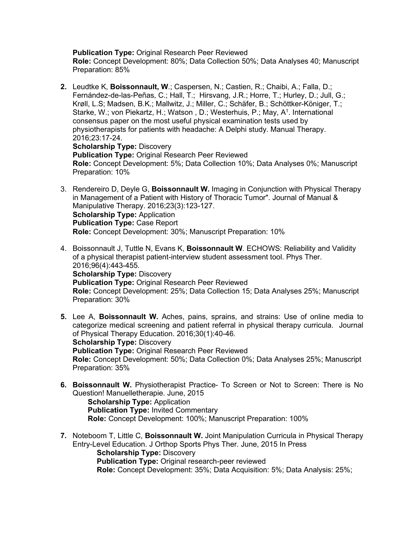**Publication Type: Original Research Peer Reviewed** 

**Role:** Concept Development: 80%; Data Collection 50%; Data Analyses 40; Manuscript Preparation: 85%

- **2.** Leudtke K, **Boissonnault, W**.; Caspersen, N.; Castien, R.; Chaibi, A.; Falla, D.; Fernández-de-las-Peñas, C.; Hall, T.; Hirsvang, J.R.; Horre, T.; Hurley, D.; Jull, G.; Krøll, L.S; Madsen, B.K.; Mallwitz, J.; Miller, C.; Schäfer, B.; Schöttker-Königer, T.; Starke, W.; von Piekartz, H.; Watson, D.; Westerhuis, P.; May, A<sup>1</sup>. International consensus paper on the most useful physical examination tests used by physiotherapists for patients with headache: A Delphi study. Manual Therapy. 2016;23:17-24. **Scholarship Type:** Discovery **Publication Type:** Original Research Peer Reviewed **Role:** Concept Development: 5%; Data Collection 10%; Data Analyses 0%; Manuscript Preparation: 10%
- 3. Rendereiro D, Deyle G, **Boissonnault W.** Imaging in Conjunction with Physical Therapy in Management of a Patient with History of Thoracic Tumor". Journal of Manual & Manipulative Therapy. 2016;23(3):123-127. **Scholarship Type:** Application **Publication Type:** Case Report **Role:** Concept Development: 30%; Manuscript Preparation: 10%
- 4. Boissonnault J, Tuttle N, Evans K, **Boissonnault W**. ECHOWS: Reliability and Validity of a physical therapist patient-interview student assessment tool. Phys Ther. 2016;96(4):443-455. **Scholarship Type:** Discovery **Publication Type:** Original Research Peer Reviewed **Role:** Concept Development: 25%; Data Collection 15; Data Analyses 25%; Manuscript Preparation: 30%
- **5.** Lee A, **Boissonnault W.** Aches, pains, sprains, and strains: Use of online media to categorize medical screening and patient referral in physical therapy curricula. Journal of Physical Therapy Education. 2016;30(1):40-46. **Scholarship Type:** Discovery **Publication Type:** Original Research Peer Reviewed **Role:** Concept Development: 50%; Data Collection 0%; Data Analyses 25%; Manuscript Preparation: 35%
- **6. Boissonnault W.** Physiotherapist Practice- To Screen or Not to Screen: There is No Question! Manuelletherapie. June, 2015 **Scholarship Type:** Application **Publication Type:** Invited Commentary **Role:** Concept Development: 100%; Manuscript Preparation: 100%
- **7.** Noteboom T, Little C, **Boissonnault W.** Joint Manipulation Curricula in Physical Therapy Entry-Level Education. J Orthop Sports Phys Ther. June, 2015 In Press **Scholarship Type: Discovery**

**Publication Type:** Original research-peer reviewed

**Role:** Concept Development: 35%; Data Acquisition: 5%; Data Analysis: 25%;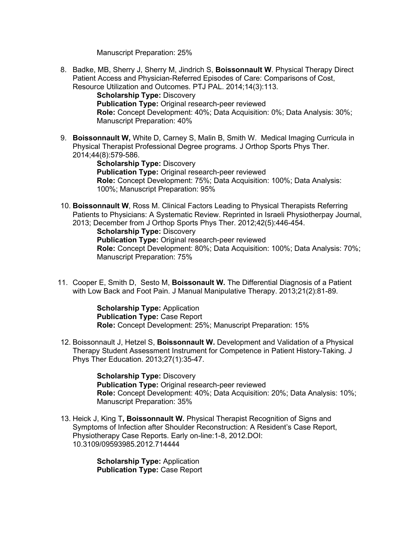Manuscript Preparation: 25%

8. Badke, MB, Sherry J, Sherry M, Jindrich S, **Boissonnault W**. Physical Therapy Direct Patient Access and Physician-Referred Episodes of Care: Comparisons of Cost, Resource Utilization and Outcomes. PTJ PAL. 2014;14(3):113.

**Scholarship Type: Discovery Publication Type:** Original research-peer reviewed **Role:** Concept Development: 40%; Data Acquisition: 0%; Data Analysis: 30%; Manuscript Preparation: 40%

9. **Boissonnault W,** White D, Carney S, Malin B, Smith W. Medical Imaging Curricula in Physical Therapist Professional Degree programs. J Orthop Sports Phys Ther. 2014;44(8):579-586.

**Scholarship Type:** Discovery **Publication Type:** Original research-peer reviewed **Role:** Concept Development: 75%; Data Acquisition: 100%; Data Analysis: 100%; Manuscript Preparation: 95%

10. **Boissonnault W**, Ross M. Clinical Factors Leading to Physical Therapists Referring Patients to Physicians: A Systematic Review. Reprinted in Israeli Physiotherpay Journal, 2013; December from J Orthop Sports Phys Ther. 2012;42(5):446-454.

**Scholarship Type: Discovery Publication Type:** Original research-peer reviewed **Role:** Concept Development: 80%; Data Acquisition: 100%; Data Analysis: 70%; Manuscript Preparation: 75%

11. Cooper E, Smith D, Sesto M, **Boissonault W.** The Differential Diagnosis of a Patient with Low Back and Foot Pain. J Manual Manipulative Therapy. 2013;21(2):81-89.

> **Scholarship Type:** Application **Publication Type:** Case Report **Role:** Concept Development: 25%; Manuscript Preparation: 15%

12. Boissonnault J, Hetzel S, **Boissonnault W.** Development and Validation of a Physical Therapy Student Assessment Instrument for Competence in Patient History-Taking. J Phys Ther Education. 2013;27(1):35-47.

> **Scholarship Type:** Discovery **Publication Type:** Original research-peer reviewed **Role:** Concept Development: 40%; Data Acquisition: 20%; Data Analysis: 10%; Manuscript Preparation: 35%

13. Heick J, King T**, Boissonnault W.** Physical Therapist Recognition of Signs and Symptoms of Infection after Shoulder Reconstruction: A Resident's Case Report, Physiotherapy Case Reports. Early on-line:1-8, 2012.DOI: 10.3109/09593985.2012.714444

> **Scholarship Type:** Application **Publication Type:** Case Report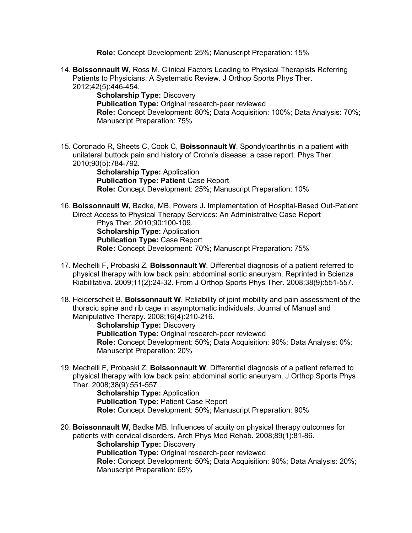**Role:** Concept Development: 25%; Manuscript Preparation: 15%

14. **Boissonnault W**, Ross M. Clinical Factors Leading to Physical Therapists Referring Patients to Physicians: A Systematic Review. J Orthop Sports Phys Ther. 2012;42(5):446-454.

**Scholarship Type: Discovery Publication Type:** Original research-peer reviewed **Role:** Concept Development: 80%; Data Acquisition: 100%; Data Analysis: 70%; Manuscript Preparation: 75%

15. Coronado R, Sheets C, Cook C, **Boissonnault W**. Spondyloarthritis in a patient with unilateral buttock pain and history of Crohn's disease: a case report. Phys Ther. 2010;90(5):784-792.

> **Scholarship Type:** Application **Publication Type: Patient Case Report Role:** Concept Development: 25%; Manuscript Preparation: 10%

- 16. **Boissonnault W,** Badke, MB, Powers J**.** Implementation of Hospital-Based Out-Patient Direct Access to Physical Therapy Services: An Administrative Case Report Phys Ther. 2010;90:100-109. **Scholarship Type: Application Publication Type:** Case Report **Role:** Concept Development: 70%; Manuscript Preparation: 75%
- 17. Mechelli F, Probaski Z, **Boissonnault W**. Differential diagnosis of a patient referred to physical therapy with low back pain: abdominal aortic aneurysm. Reprinted in Scienza Riabilitativa. 2009;11(2):24-32. From J Orthop Sports Phys Ther. 2008;38(9):551-557.
- 18. Heiderscheit B, **Boissonnault W**. Reliability of joint mobility and pain assessment of the thoracic spine and rib cage in asymptomatic individuals. Journal of Manual and Manipulative Therapy. 2008;16(4):210-216.

**Scholarship Type: Discovery Publication Type:** Original research-peer reviewed **Role:** Concept Development: 50%; Data Acquisition: 90%; Data Analysis: 0%; Manuscript Preparation: 20%

19. Mechelli F, Probaski Z, **Boissonnault W**. Differential diagnosis of a patient referred to physical therapy with low back pain: abdominal aortic aneurysm. J Orthop Sports Phys Ther. 2008;38(9):551-557.

> **Scholarship Type:** Application **Publication Type:** Patient Case Report **Role:** Concept Development: 50%; Manuscript Preparation: 90%

20. **Boissonnault W**, Badke MB. Influences of acuity on physical therapy outcomes for patients with cervical disorders. Arch Phys Med Rehab**.** 2008;89(1):81-86.

**Scholarship Type:** Discovery

**Publication Type:** Original research-peer reviewed

**Role:** Concept Development: 50%; Data Acquisition: 90%; Data Analysis: 20%; Manuscript Preparation: 65%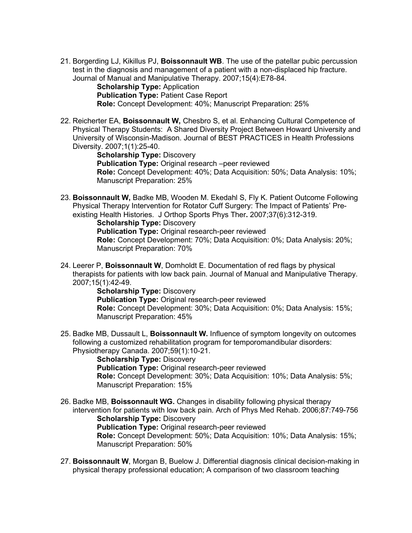21. Borgerding LJ, Kikillus PJ, **Boissonnault WB**. The use of the patellar pubic percussion test in the diagnosis and management of a patient with a non-displaced hip fracture. Journal of Manual and Manipulative Therapy. 2007;15(4):E78-84.

**Scholarship Type:** Application **Publication Type:** Patient Case Report **Role:** Concept Development: 40%; Manuscript Preparation: 25%

22. Reicherter EA, **Boissonnault W,** Chesbro S, et al. Enhancing Cultural Competence of Physical Therapy Students: A Shared Diversity Project Between Howard University and University of Wisconsin-Madison. Journal of BEST PRACTICES in Health Professions Diversity. 2007;1(1):25-40.

**Scholarship Type:** Discovery **Publication Type:** Original research –peer reviewed **Role:** Concept Development: 40%; Data Acquisition: 50%; Data Analysis: 10%; Manuscript Preparation: 25%

23. **Boissonnault W,** Badke MB, Wooden M. Ekedahl S, Fly K. Patient Outcome Following Physical Therapy Intervention for Rotator Cuff Surgery: The Impact of Patients' Preexisting Health Histories. J Orthop Sports Phys Ther**.** 2007;37(6):312-319.

**Scholarship Type: Discovery Publication Type:** Original research-peer reviewed **Role:** Concept Development: 70%; Data Acquisition: 0%; Data Analysis: 20%;

- Manuscript Preparation: 70%
- 24. Leerer P, **Boissonnault W**, Domholdt E. Documentation of red flags by physical therapists for patients with low back pain. Journal of Manual and Manipulative Therapy. 2007;15(1):42-49.

**Scholarship Type: Discovery Publication Type:** Original research-peer reviewed **Role:** Concept Development: 30%; Data Acquisition: 0%; Data Analysis: 15%; Manuscript Preparation: 45%

25. Badke MB, Dussault L, **Boissonnault W.** Influence of symptom longevity on outcomes following a customized rehabilitation program for temporomandibular disorders: Physiotherapy Canada. 2007;59(1):10-21.

**Scholarship Type:** Discovery **Publication Type:** Original research-peer reviewed **Role:** Concept Development: 30%; Data Acquisition: 10%; Data Analysis: 5%; Manuscript Preparation: 15%

- 26. Badke MB, **Boissonnault WG.** Changes in disability following physical therapy intervention for patients with low back pain. Arch of Phys Med Rehab. 2006;87:749-756 **Scholarship Type:** Discovery **Publication Type:** Original research-peer reviewed **Role:** Concept Development: 50%; Data Acquisition: 10%; Data Analysis: 15%; Manuscript Preparation: 50%
- 27. **Boissonnault W**, Morgan B, Buelow J. Differential diagnosis clinical decision-making in physical therapy professional education; A comparison of two classroom teaching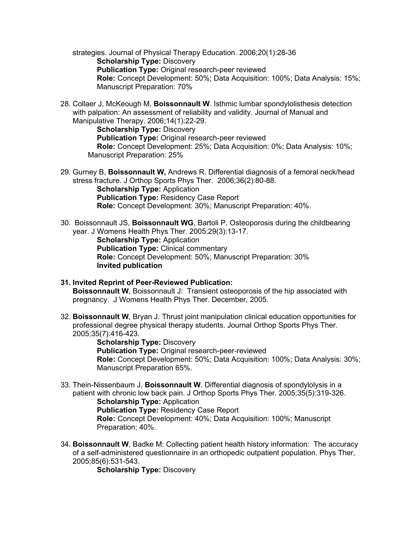strategies. Journal of Physical Therapy Education. 2006;20(1):28-36 **Scholarship Type: Discovery Publication Type:** Original research-peer reviewed **Role:** Concept Development: 50%; Data Acquisition: 100%; Data Analysis: 15%; Manuscript Preparation: 70%

28. Collaer J, McKeough M, **Boissonnault W**. Isthmic lumbar spondylolisthesis detection with palpation: An assessment of reliability and validity. Journal of Manual and Manipulative Therapy. 2006;14(1):22-29.

**Scholarship Type:** Discovery **Publication Type:** Original research-peer reviewed **Role:** Concept Development: 25%; Data Acquisition: 0%; Data Analysis: 10%; Manuscript Preparation: 25%

29. Gurney B, **Boissonnault W,** Andrews R. Differential diagnosis of a femoral neck/head stress fracture. J Orthop Sports Phys Ther. 2006;36(2):80-88.

**Scholarship Type:** Application **Publication Type:** Residency Case Report **Role:** Concept Development: 30%; Manuscript Preparation: 40%.

30. Boissonnault JS, **Boissonnault WG**, Bartoli P. Osteoporosis during the childbearing year. J Womens Health Phys Ther. 2005;29(3):13-17. **Scholarship Type:** Application **Publication Type:** Clinical commentary **Role:** Concept Development: 50%; Manuscript Preparation: 30% **Invited publication**

#### **31. Invited Reprint of Peer-Reviewed Publication: Boissonnault W**, Boissonnault J: Transient osteoporosis of the hip associated with pregnancy. J Womens Health Phys Ther. December, 2005.

32. **Boissonnault W**, Bryan J. Thrust joint manipulation clinical education opportunities for professional degree physical therapy students. Journal Orthop Sports Phys Ther. 2005;35(7):416-423.

> **Scholarship Type: Discovery Publication Type:** Original research-peer-reviewed **Role:** Concept Development: 50%; Data Acquisition: 100%; Data Analysis: 30%; Manuscript Preparation 65%.

- 33. Thein-Nissenbaum J, **Boissonnault W**. Differential diagnosis of spondylolysis in a patient with chronic low back pain. J Orthop Sports Phys Ther. 2005;35(5):319-326. **Scholarship Type:** Application **Publication Type:** Residency Case Report **Role:** Concept Development: 40%; Data Acquisition: 100%; Manuscript Preparation: 40%.
- 34. **Boissonnault W**, Badke M: Collecting patient health history information: The accuracy of a self-administered questionnaire in an orthopedic outpatient population. Phys Ther, 2005;85(6):531-543.

**Scholarship Type:** Discovery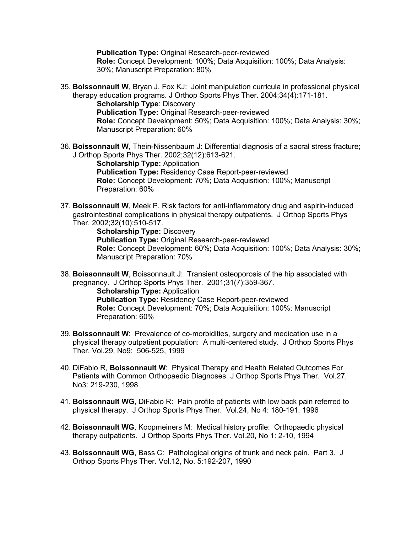**Publication Type: Original Research-peer-reviewed** 

**Role:** Concept Development: 100%; Data Acquisition: 100%; Data Analysis: 30%; Manuscript Preparation: 80%

35. **Boissonnault W**, Bryan J, Fox KJ: Joint manipulation curricula in professional physical therapy education programs. J Orthop Sports Phys Ther. 2004;34(4):171-181.

**Scholarship Type**: Discovery **Publication Type:** Original Research-peer-reviewed **Role:** Concept Development: 50%; Data Acquisition: 100%; Data Analysis: 30%; Manuscript Preparation: 60%

36. **Boissonnault W**, Thein-Nissenbaum J: Differential diagnosis of a sacral stress fracture; J Orthop Sports Phys Ther. 2002;32(12):613-621.

> **Scholarship Type:** Application **Publication Type:** Residency Case Report-peer-reviewed **Role:** Concept Development: 70%; Data Acquisition: 100%; Manuscript Preparation: 60%

37. **Boissonnault W**, Meek P. Risk factors for anti-inflammatory drug and aspirin-induced gastrointestinal complications in physical therapy outpatients. J Orthop Sports Phys Ther. 2002;32(10):510-517.

> **Scholarship Type:** Discovery **Publication Type:** Original Research-peer-reviewed **Role:** Concept Development: 60%; Data Acquisition: 100%; Data Analysis: 30%; Manuscript Preparation: 70%

38. **Boissonnault W**, Boissonnault J: Transient osteoporosis of the hip associated with pregnancy. J Orthop Sports Phys Ther. 2001;31(7):359-367.

**Scholarship Type:** Application **Publication Type:** Residency Case Report-peer-reviewed **Role:** Concept Development: 70%; Data Acquisition: 100%; Manuscript Preparation: 60%

- 39. **Boissonnault W**: Prevalence of co-morbidities, surgery and medication use in a physical therapy outpatient population: A multi-centered study. J Orthop Sports Phys Ther. Vol.29, No9: 506-525, 1999
- 40. DiFabio R, **Boissonnault W**: Physical Therapy and Health Related Outcomes For Patients with Common Orthopaedic Diagnoses. J Orthop Sports Phys Ther. Vol.27, No3: 219-230, 1998
- 41. **Boissonnault WG**, DiFabio R: Pain profile of patients with low back pain referred to physical therapy. J Orthop Sports Phys Ther. Vol.24, No 4: 180-191, 1996
- 42. **Boissonnault WG**, Koopmeiners M: Medical history profile: Orthopaedic physical therapy outpatients. J Orthop Sports Phys Ther. Vol.20, No 1: 2-10, 1994
- 43. **Boissonnault WG**, Bass C: Pathological origins of trunk and neck pain. Part 3. J Orthop Sports Phys Ther. Vol.12, No. 5:192-207, 1990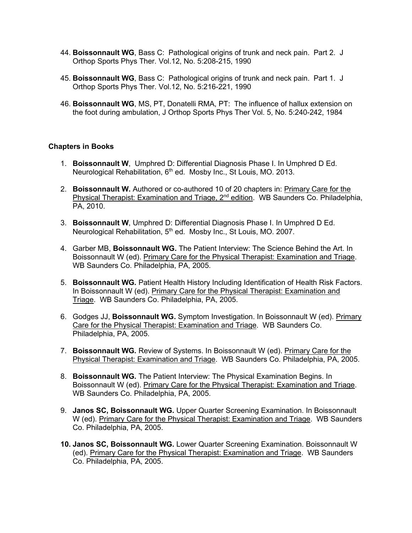- 44. **Boissonnault WG**, Bass C: Pathological origins of trunk and neck pain. Part 2. J Orthop Sports Phys Ther. Vol.12, No. 5:208-215, 1990
- 45. **Boissonnault WG**, Bass C: Pathological origins of trunk and neck pain. Part 1. J Orthop Sports Phys Ther. Vol.12, No. 5:216-221, 1990
- 46. **Boissonnault WG**, MS, PT, Donatelli RMA, PT: The influence of hallux extension on the foot during ambulation, J Orthop Sports Phys Ther Vol. 5, No. 5:240-242, 1984

## **Chapters in Books**

- 1. **Boissonnault W**, Umphred D: Differential Diagnosis Phase I. In Umphred D Ed. Neurological Rehabilitation, 6<sup>th</sup> ed. Mosby Inc., St Louis, MO, 2013.
- 2. **Boissonnault W.** Authored or co-authored 10 of 20 chapters in: Primary Care for the Physical Therapist: Examination and Triage, 2<sup>nd</sup> edition. WB Saunders Co. Philadelphia, PA, 2010.
- 3. **Boissonnault W**, Umphred D: Differential Diagnosis Phase I. In Umphred D Ed. Neurological Rehabilitation, 5<sup>th</sup> ed. Mosby Inc., St Louis, MO. 2007.
- 4. Garber MB, **Boissonnault WG.** The Patient Interview: The Science Behind the Art. In Boissonnault W (ed). Primary Care for the Physical Therapist: Examination and Triage. WB Saunders Co. Philadelphia, PA, 2005.
- 5. **Boissonnault WG.** Patient Health History Including Identification of Health Risk Factors. In Boissonnault W (ed). Primary Care for the Physical Therapist: Examination and Triage. WB Saunders Co. Philadelphia, PA, 2005.
- 6. Godges JJ, **Boissonnault WG.** Symptom Investigation. In Boissonnault W (ed). Primary Care for the Physical Therapist: Examination and Triage. WB Saunders Co. Philadelphia, PA, 2005.
- 7. **Boissonnault WG.** Review of Systems. In Boissonnault W (ed). Primary Care for the Physical Therapist: Examination and Triage. WB Saunders Co. Philadelphia, PA, 2005.
- 8. **Boissonnault WG.** The Patient Interview: The Physical Examination Begins. In Boissonnault W (ed). Primary Care for the Physical Therapist: Examination and Triage. WB Saunders Co. Philadelphia, PA, 2005.
- 9. **Janos SC, Boissonnault WG.** Upper Quarter Screening Examination. In Boissonnault W (ed). Primary Care for the Physical Therapist: Examination and Triage. WB Saunders Co. Philadelphia, PA, 2005.
- **10. Janos SC, Boissonnault WG.** Lower Quarter Screening Examination. Boissonnault W (ed). Primary Care for the Physical Therapist: Examination and Triage. WB Saunders Co. Philadelphia, PA, 2005.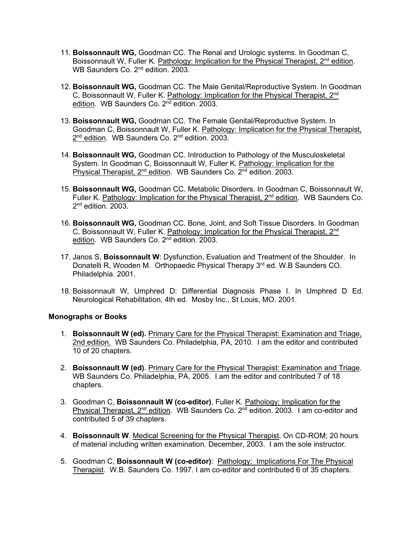- 11. **Boissonnault WG,** Goodman CC. The Renal and Urologic systems. In Goodman C, Boissonnault W, Fuller K. Pathology: Implication for the Physical Therapist, 2<sup>nd</sup> edition. WB Saunders Co. 2<sup>nd</sup> edition. 2003.
- 12. **Boissonnault WG,** Goodman CC. The Male Genital/Reproductive System. In Goodman C, Boissonnault W, Fuller K. Pathology: Implication for the Physical Therapist, 2<sup>nd</sup> edition. WB Saunders Co. 2<sup>nd</sup> edition. 2003.
- 13. **Boissonnault WG,** Goodman CC. The Female Genital/Reproductive System. In Goodman C, Boissonnault W, Fuller K. Pathology: Implication for the Physical Therapist, 2<sup>nd</sup> edition. WB Saunders Co. 2<sup>nd</sup> edition. 2003.
- 14. **Boissonnault WG,** Goodman CC. Introduction to Pathology of the Musculoskeletal System. In Goodman C, Boissonnault W, Fuller K. Pathology: Implication for the Physical Therapist, 2<sup>nd</sup> edition. WB Saunders Co. 2<sup>nd</sup> edition. 2003.
- 15. **Boissonnault WG,** Goodman CC. Metabolic Disorders. In Goodman C, Boissonnault W, Fuller K. Pathology: Implication for the Physical Therapist,  $2<sup>nd</sup>$  edition. WB Saunders Co.  $2<sup>nd</sup>$  edition. 2003.
- 16. **Boissonnault WG,** Goodman CC. Bone, Joint, and Soft Tissue Disorders. In Goodman C, Boissonnault W, Fuller K. Pathology: Implication for the Physical Therapist, 2<sup>nd</sup> edition. WB Saunders Co. 2<sup>nd</sup> edition. 2003.
- 17. Janos S, **Boissonnault W**: Dysfunction, Evaluation and Treatment of the Shoulder. In Donatelli R, Wooden M. Orthopaedic Physical Therapy 3<sup>rd</sup> ed. W.B Saunders CO. Philadelphia. 2001.
- 18. Boissonnault W, Umphred D: Differential Diagnosis Phase I. In Umphred D Ed. Neurological Rehabilitation, 4th ed. Mosby Inc., St Louis, MO. 2001.

## **Monographs or Books**

- 1. **Boissonnault W (ed).** Primary Care for the Physical Therapist: Examination and Triage, 2nd edition.WB Saunders Co. Philadelphia, PA, 2010. I am the editor and contributed 10 of 20 chapters.
- 2. **Boissonnault W (ed)**. Primary Care for the Physical Therapist: Examination and Triage. WB Saunders Co. Philadelphia, PA, 2005. I am the editor and contributed 7 of 18 chapters.
- 3. Goodman C, **Boissonnault W (co-editor)**, Fuller K. Pathology: Implication for the Physical Therapist,  $2^{nd}$  edition. WB Saunders Co.  $2^{nd}$  edition. 2003. I am co-editor and contributed 5 of 39 chapters.
- 4. **Boissonnault W**. Medical Screening for the Physical Therapist. On CD-ROM; 20 hours of material including written examination. December, 2003. I am the sole instructor.
- 5. Goodman C, **Boissonnault W (co-editor)**: Pathology: Implications For The Physical Therapist. W.B. Saunders Co. 1997. I am co-editor and contributed 6 of 35 chapters.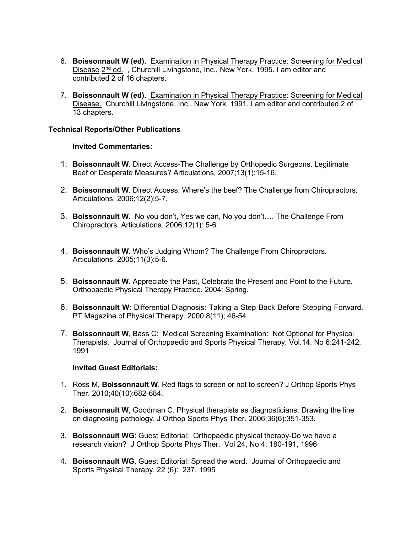- 6. **Boissonnault W (ed).** Examination in Physical Therapy Practice: Screening for Medical Disease 2<sup>nd</sup> ed., Churchill Livingstone, Inc., New York. 1995. I am editor and contributed 2 of 16 chapters.
- 7. **Boissonnault W (ed).** Examination in Physical Therapy Practice: Screening for Medical Disease. Churchill Livingstone, Inc., New York. 1991. I am editor and contributed 2 of 13 chapters.

#### **Technical Reports/Other Publications**

#### **Invited Commentaries:**

- 1. **Boissonnault W**. Direct Access-The Challenge by Orthopedic Surgeons. Legitimate Beef or Desperate Measures? Articulations, 2007;13(1):15-16.
- 2. **Boissonnault W**. Direct Access: Where's the beef? The Challenge from Chiropractors. Articulations. 2006;12(2):5-7.
- 3. **Boissonnault W.** No you don't, Yes we can, No you don't…. The Challenge From Chiropractors. Articulations. 2006;12(1): 5-6.
- 4. **Boissonnault W.** Who's Judging Whom? The Challenge From Chiropractors. Articulations. 2005;11(3):5-6.
- 5. **Boissonnault W**. Appreciate the Past, Celebrate the Present and Point to the Future. Orthopaedic Physical Therapy Practice. 2004: Spring.
- 6. **Boissonnault W**: Differential Diagnosis: Taking a Step Back Before Stepping Forward. PT Magazine of Physical Therapy. 2000:8(11); 46-54
- 7. **Boissonnault W**, Bass C: Medical Screening Examination: Not Optional for Physical Therapists. Journal of Orthopaedic and Sports Physical Therapy, Vol.14, No 6:241-242, 1991

#### **Invited Guest Editorials:**

- 1. Ross M, **Boissonnault W**. Red flags to screen or not to screen? J Orthop Sports Phys Ther. 2010;40(10):682-684.
- 2. **Boissonnault W**, Goodman C. Physical therapists as diagnosticians: Drawing the line on diagnosing pathology. J Orthop Sports Phys Ther. 2006;36(6):351-353.
- 3. **Boissonnault WG**: Guest Editorial: Orthopaedic physical therapy-Do we have a research vision? J Orthop Sports Phys Ther. Vol 24, No 4: 180-191, 1996
- 4. **Boissonnault WG**, Guest Editorial: Spread the word. Journal of Orthopaedic and Sports Physical Therapy. 22 (6): 237, 1995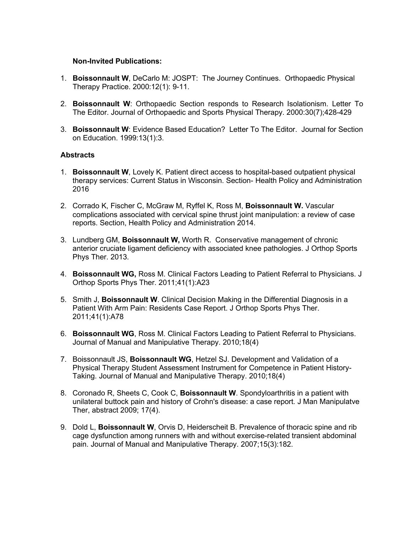#### **Non-Invited Publications:**

- 1. **Boissonnault W**, DeCarlo M: JOSPT: The Journey Continues. Orthopaedic Physical Therapy Practice. 2000:12(1): 9-11.
- 2. **Boissonnault W**: Orthopaedic Section responds to Research Isolationism. Letter To The Editor. Journal of Orthopaedic and Sports Physical Therapy. 2000:30(7);428-429
- 3. **Boissonnault W**: Evidence Based Education? Letter To The Editor. Journal for Section on Education. 1999:13(1):3.

#### **Abstracts**

- 1. **Boissonnault W**, Lovely K. Patient direct access to hospital-based outpatient physical therapy services: Current Status in Wisconsin. Section- Health Policy and Administration 2016
- 2. Corrado K, Fischer C, McGraw M, Ryffel K, Ross M, **Boissonnault W.** Vascular complications associated with cervical spine thrust joint manipulation: a review of case reports. Section, Health Policy and Administration 2014.
- 3. Lundberg GM, **Boissonnault W,** Worth R.Conservative management of chronic anterior cruciate ligament deficiency with associated knee pathologies. J Orthop Sports Phys Ther. 2013.
- 4. **Boissonnault WG,** Ross M. Clinical Factors Leading to Patient Referral to Physicians. J Orthop Sports Phys Ther. 2011;41(1):A23
- 5. Smith J, **Boissonnault W**. Clinical Decision Making in the Differential Diagnosis in a Patient With Arm Pain: Residents Case Report. J Orthop Sports Phys Ther. 2011;41(1):A78
- 6. **Boissonnault WG**, Ross M. Clinical Factors Leading to Patient Referral to Physicians. Journal of Manual and Manipulative Therapy. 2010;18(4)
- 7. Boissonnault JS, **Boissonnault WG**, Hetzel SJ. Development and Validation of a Physical Therapy Student Assessment Instrument for Competence in Patient History-Taking. Journal of Manual and Manipulative Therapy. 2010;18(4)
- 8. Coronado R, Sheets C, Cook C, **Boissonnault W**. Spondyloarthritis in a patient with unilateral buttock pain and history of Crohn's disease: a case report. J Man Manipulatve Ther, abstract 2009; 17(4).
- 9. Dold L, **Boissonnault W**, Orvis D, Heiderscheit B. Prevalence of thoracic spine and rib cage dysfunction among runners with and without exercise-related transient abdominal pain. Journal of Manual and Manipulative Therapy. 2007;15(3):182.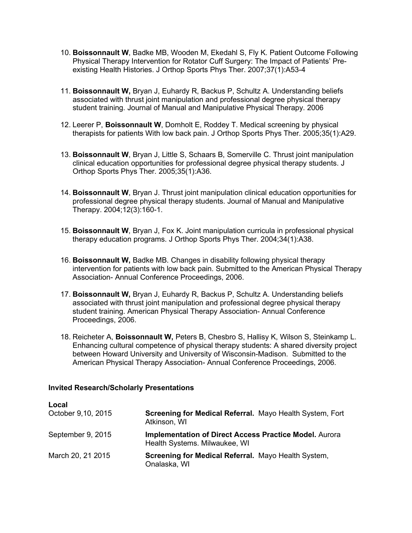- 10. **Boissonnault W**, Badke MB, Wooden M, Ekedahl S, Fly K. Patient Outcome Following Physical Therapy Intervention for Rotator Cuff Surgery: The Impact of Patients' Preexisting Health Histories. J Orthop Sports Phys Ther. 2007;37(1):A53-4
- 11. **Boissonnault W,** Bryan J, Euhardy R, Backus P, Schultz A. Understanding beliefs associated with thrust joint manipulation and professional degree physical therapy student training. Journal of Manual and Manipulative Physical Therapy. 2006
- 12. Leerer P, **Boissonnault W**, Domholt E, Roddey T. Medical screening by physical therapists for patients With low back pain. J Orthop Sports Phys Ther. 2005;35(1):A29.
- 13. **Boissonnault W**, Bryan J, Little S, Schaars B, Somerville C. Thrust joint manipulation clinical education opportunities for professional degree physical therapy students. J Orthop Sports Phys Ther. 2005;35(1):A36.
- 14. **Boissonnault W**, Bryan J. Thrust joint manipulation clinical education opportunities for professional degree physical therapy students. Journal of Manual and Manipulative Therapy. 2004;12(3):160-1.
- 15. **Boissonnault W**, Bryan J, Fox K. Joint manipulation curricula in professional physical therapy education programs. J Orthop Sports Phys Ther. 2004;34(1):A38.
- 16. **Boissonnault W,** Badke MB. Changes in disability following physical therapy intervention for patients with low back pain. Submitted to the American Physical Therapy Association- Annual Conference Proceedings, 2006.
- 17. **Boissonnault W,** Bryan J, Euhardy R, Backus P, Schultz A. Understanding beliefs associated with thrust joint manipulation and professional degree physical therapy student training. American Physical Therapy Association- Annual Conference Proceedings, 2006.
- 18. Reicheter A, **Boissonnault W,** Peters B, Chesbro S, Hallisy K, Wilson S, Steinkamp L. Enhancing cultural competence of physical therapy students: A shared diversity project between Howard University and University of Wisconsin-Madison. Submitted to the American Physical Therapy Association- Annual Conference Proceedings, 2006.

## **Invited Research/Scholarly Presentations**

| Local<br>October 9,10, 2015 | Screening for Medical Referral. Mayo Health System, Fort<br>Atkinson, WI                        |
|-----------------------------|-------------------------------------------------------------------------------------------------|
| September 9, 2015           | <b>Implementation of Direct Access Practice Model. Auroral</b><br>Health Systems. Milwaukee, WI |
| March 20, 21 2015           | Screening for Medical Referral. Mayo Health System,<br>Onalaska, WI                             |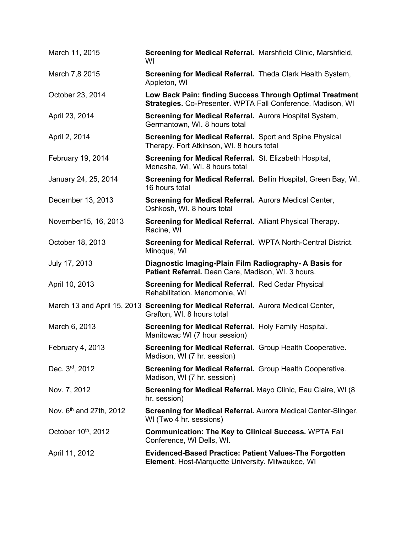| March 11, 2015                      | Screening for Medical Referral. Marshfield Clinic, Marshfield,<br>WI                                                    |  |
|-------------------------------------|-------------------------------------------------------------------------------------------------------------------------|--|
| March 7,8 2015                      | Screening for Medical Referral. Theda Clark Health System,<br>Appleton, WI                                              |  |
| October 23, 2014                    | Low Back Pain: finding Success Through Optimal Treatment<br>Strategies. Co-Presenter. WPTA Fall Conference. Madison, WI |  |
| April 23, 2014                      | Screening for Medical Referral. Aurora Hospital System,<br>Germantown, WI. 8 hours total                                |  |
| April 2, 2014                       | <b>Screening for Medical Referral.</b> Sport and Spine Physical<br>Therapy. Fort Atkinson, WI. 8 hours total            |  |
| February 19, 2014                   | Screening for Medical Referral. St. Elizabeth Hospital,<br>Menasha, WI, WI. 8 hours total                               |  |
| January 24, 25, 2014                | Screening for Medical Referral. Bellin Hospital, Green Bay, WI.<br>16 hours total                                       |  |
| December 13, 2013                   | Screening for Medical Referral. Aurora Medical Center,<br>Oshkosh, WI. 8 hours total                                    |  |
| November15, 16, 2013                | <b>Screening for Medical Referral.</b> Alliant Physical Therapy.<br>Racine, WI                                          |  |
| October 18, 2013                    | Screening for Medical Referral. WPTA North-Central District.<br>Minoqua, WI                                             |  |
| July 17, 2013                       | Diagnostic Imaging-Plain Film Radiography- A Basis for<br>Patient Referral. Dean Care, Madison, WI. 3 hours.            |  |
| April 10, 2013                      | <b>Screening for Medical Referral. Red Cedar Physical</b><br>Rehabilitation. Menomonie, WI                              |  |
|                                     | March 13 and April 15, 2013 Screening for Medical Referral. Aurora Medical Center,<br>Grafton, WI. 8 hours total        |  |
| March 6, 2013                       | Screening for Medical Referral. Holy Family Hospital.<br>Manitowac WI (7 hour session)                                  |  |
| February 4, 2013                    | <b>Screening for Medical Referral.</b> Group Health Cooperative.<br>Madison, WI (7 hr. session)                         |  |
| Dec. 3rd, 2012                      |                                                                                                                         |  |
|                                     | Screening for Medical Referral. Group Health Cooperative.<br>Madison, WI (7 hr. session)                                |  |
| Nov. 7, 2012                        | Screening for Medical Referral. Mayo Clinic, Eau Claire, WI (8)<br>hr. session)                                         |  |
| Nov. 6 <sup>th</sup> and 27th, 2012 | Screening for Medical Referral. Aurora Medical Center-Slinger,<br>WI (Two 4 hr. sessions)                               |  |
| October 10 <sup>th</sup> , 2012     | <b>Communication: The Key to Clinical Success. WPTA Fall</b><br>Conference, WI Dells, WI.                               |  |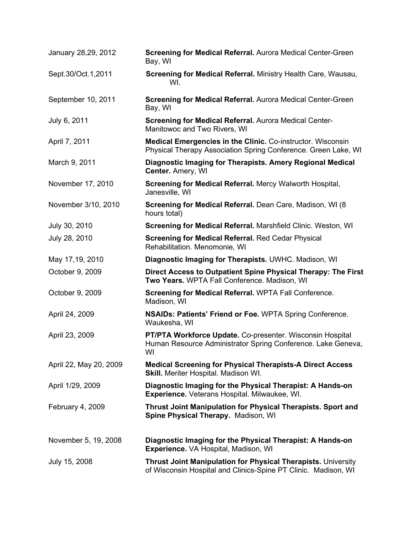| January 28,29, 2012    | <b>Screening for Medical Referral.</b> Aurora Medical Center-Green<br>Bay, WI                                                          |
|------------------------|----------------------------------------------------------------------------------------------------------------------------------------|
| Sept.30/Oct.1,2011     | Screening for Medical Referral. Ministry Health Care, Wausau,<br>WI.                                                                   |
| September 10, 2011     | Screening for Medical Referral. Aurora Medical Center-Green<br>Bay, WI                                                                 |
| July 6, 2011           | <b>Screening for Medical Referral. Aurora Medical Center-</b><br>Manitowoc and Two Rivers, WI                                          |
| April 7, 2011          | <b>Medical Emergencies in the Clinic. Co-instructor. Wisconsin</b><br>Physical Therapy Association Spring Conference. Green Lake, WI   |
| March 9, 2011          | Diagnostic Imaging for Therapists. Amery Regional Medical<br>Center. Amery, WI                                                         |
| November 17, 2010      | Screening for Medical Referral. Mercy Walworth Hospital,<br>Janesville, WI                                                             |
| November 3/10, 2010    | Screening for Medical Referral. Dean Care, Madison, WI (8)<br>hours total)                                                             |
| July 30, 2010          | Screening for Medical Referral. Marshfield Clinic. Weston, WI                                                                          |
| July 28, 2010          | <b>Screening for Medical Referral. Red Cedar Physical</b><br>Rehabilitation. Menomonie, WI                                             |
| May 17,19, 2010        | Diagnostic Imaging for Therapists. UWHC. Madison, WI                                                                                   |
| October 9, 2009        | Direct Access to Outpatient Spine Physical Therapy: The First<br>Two Years. WPTA Fall Conference. Madison, WI                          |
| October 9, 2009        | <b>Screening for Medical Referral. WPTA Fall Conference.</b><br>Madison, WI                                                            |
| April 24, 2009         | <b>NSAIDs: Patients' Friend or Foe. WPTA Spring Conference.</b><br>Waukesha, WI                                                        |
| April 23, 2009         | PT/PTA Workforce Update. Co-presenter. Wisconsin Hospital<br>Human Resource Administrator Spring Conference. Lake Geneva,<br>WI        |
| April 22, May 20, 2009 | <b>Medical Screening for Physical Therapists-A Direct Access</b><br><b>Skill.</b> Meriter Hospital. Madison WI.                        |
| April 1/29, 2009       | Diagnostic Imaging for the Physical Therapist: A Hands-on<br><b>Experience.</b> Veterans Hospital. Milwaukee, WI.                      |
| February 4, 2009       | <b>Thrust Joint Manipulation for Physical Therapists. Sport and</b><br>Spine Physical Therapy. Madison, WI                             |
| November 5, 19, 2008   | Diagnostic Imaging for the Physical Therapist: A Hands-on<br><b>Experience.</b> VA Hospital, Madison, WI                               |
| July 15, 2008          | <b>Thrust Joint Manipulation for Physical Therapists. University</b><br>of Wisconsin Hospital and Clinics-Spine PT Clinic. Madison, WI |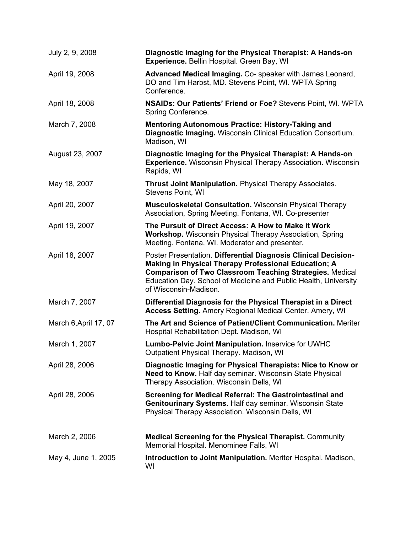| July 2, 9, 2008       | Diagnostic Imaging for the Physical Therapist: A Hands-on<br>Experience. Bellin Hospital. Green Bay, WI                                                                                                                                                                               |
|-----------------------|---------------------------------------------------------------------------------------------------------------------------------------------------------------------------------------------------------------------------------------------------------------------------------------|
| April 19, 2008        | Advanced Medical Imaging. Co-speaker with James Leonard,<br>DO and Tim Harbst, MD. Stevens Point, WI. WPTA Spring<br>Conference.                                                                                                                                                      |
| April 18, 2008        | NSAIDs: Our Patients' Friend or Foe? Stevens Point, WI. WPTA<br>Spring Conference.                                                                                                                                                                                                    |
| March 7, 2008         | Mentoring Autonomous Practice: History-Taking and<br>Diagnostic Imaging. Wisconsin Clinical Education Consortium.<br>Madison, WI                                                                                                                                                      |
| August 23, 2007       | Diagnostic Imaging for the Physical Therapist: A Hands-on<br><b>Experience.</b> Wisconsin Physical Therapy Association. Wisconsin<br>Rapids, WI                                                                                                                                       |
| May 18, 2007          | Thrust Joint Manipulation. Physical Therapy Associates.<br><b>Stevens Point, WI</b>                                                                                                                                                                                                   |
| April 20, 2007        | <b>Musculoskeletal Consultation.</b> Wisconsin Physical Therapy<br>Association, Spring Meeting. Fontana, WI. Co-presenter                                                                                                                                                             |
| April 19, 2007        | The Pursuit of Direct Access: A How to Make it Work<br><b>Workshop.</b> Wisconsin Physical Therapy Association, Spring<br>Meeting. Fontana, WI. Moderator and presenter.                                                                                                              |
| April 18, 2007        | Poster Presentation. Differential Diagnosis Clinical Decision-<br>Making in Physical Therapy Professional Education; A<br><b>Comparison of Two Classroom Teaching Strategies. Medical</b><br>Education Day. School of Medicine and Public Health, University<br>of Wisconsin-Madison. |
| March 7, 2007         | Differential Diagnosis for the Physical Therapist in a Direct<br><b>Access Setting.</b> Amery Regional Medical Center. Amery, WI                                                                                                                                                      |
| March 6, April 17, 07 | The Art and Science of Patient/Client Communication. Meriter<br>Hospital Rehabilitation Dept. Madison, WI                                                                                                                                                                             |
| March 1, 2007         | Lumbo-Pelvic Joint Manipulation. Inservice for UWHC<br>Outpatient Physical Therapy. Madison, WI                                                                                                                                                                                       |
| April 28, 2006        | Diagnostic Imaging for Physical Therapists: Nice to Know or<br><b>Need to Know. Half day seminar. Wisconsin State Physical</b><br>Therapy Association. Wisconsin Dells, WI                                                                                                            |
| April 28, 2006        | Screening for Medical Referral: The Gastrointestinal and<br>Genitourinary Systems. Half day seminar. Wisconsin State<br>Physical Therapy Association. Wisconsin Dells, WI                                                                                                             |
| March 2, 2006         | <b>Medical Screening for the Physical Therapist. Community</b><br>Memorial Hospital. Menominee Falls, WI                                                                                                                                                                              |
| May 4, June 1, 2005   | <b>Introduction to Joint Manipulation.</b> Meriter Hospital. Madison,<br>WI                                                                                                                                                                                                           |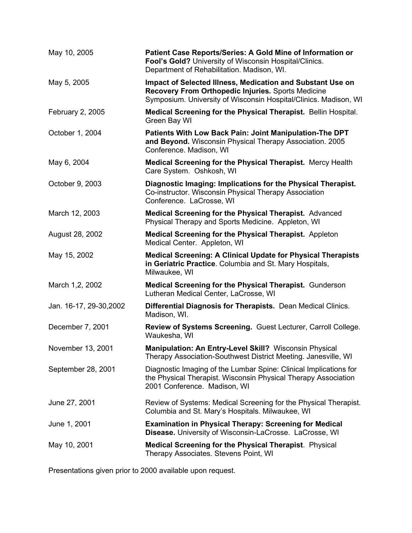| May 10, 2005            | Patient Case Reports/Series: A Gold Mine of Information or<br>Fool's Gold? University of Wisconsin Hospital/Clinics.<br>Department of Rehabilitation. Madison, WI.                   |
|-------------------------|--------------------------------------------------------------------------------------------------------------------------------------------------------------------------------------|
| May 5, 2005             | Impact of Selected Illness, Medication and Substant Use on<br>Recovery From Orthopedic Injuries. Sports Medicine<br>Symposium. University of Wisconsin Hospital/Clinics. Madison, WI |
| February 2, 2005        | Medical Screening for the Physical Therapist. Bellin Hospital.<br>Green Bay WI                                                                                                       |
| October 1, 2004         | Patients With Low Back Pain: Joint Manipulation-The DPT<br>and Beyond. Wisconsin Physical Therapy Association. 2005<br>Conference. Madison, WI                                       |
| May 6, 2004             | Medical Screening for the Physical Therapist. Mercy Health<br>Care System. Oshkosh, WI                                                                                               |
| October 9, 2003         | Diagnostic Imaging: Implications for the Physical Therapist.<br>Co-instructor. Wisconsin Physical Therapy Association<br>Conference. LaCrosse, WI                                    |
| March 12, 2003          | Medical Screening for the Physical Therapist. Advanced<br>Physical Therapy and Sports Medicine. Appleton, WI                                                                         |
| August 28, 2002         | <b>Medical Screening for the Physical Therapist.</b> Appleton<br>Medical Center. Appleton, WI                                                                                        |
| May 15, 2002            | <b>Medical Screening: A Clinical Update for Physical Therapists</b><br>in Geriatric Practice. Columbia and St. Mary Hospitals,<br>Milwaukee, WI                                      |
| March 1,2, 2002         | <b>Medical Screening for the Physical Therapist. Gunderson</b><br>Lutheran Medical Center, LaCrosse, WI                                                                              |
| Jan. 16-17, 29-30, 2002 | <b>Differential Diagnosis for Therapists.</b> Dean Medical Clinics.<br>Madison, WI.                                                                                                  |
| December 7, 2001        | Review of Systems Screening. Guest Lecturer, Carroll College.<br>Waukesha, WI                                                                                                        |
| November 13, 2001       | Manipulation: An Entry-Level Skill? Wisconsin Physical<br>Therapy Association-Southwest District Meeting. Janesville, WI                                                             |
| September 28, 2001      | Diagnostic Imaging of the Lumbar Spine: Clinical Implications for<br>the Physical Therapist. Wisconsin Physical Therapy Association<br>2001 Conference. Madison, WI                  |
| June 27, 2001           | Review of Systems: Medical Screening for the Physical Therapist.<br>Columbia and St. Mary's Hospitals. Milwaukee, WI                                                                 |
| June 1, 2001            | <b>Examination in Physical Therapy: Screening for Medical</b><br>Disease. University of Wisconsin-LaCrosse. LaCrosse, WI                                                             |
| May 10, 2001            | <b>Medical Screening for the Physical Therapist. Physical</b><br>Therapy Associates. Stevens Point, WI                                                                               |

Presentations given prior to 2000 available upon request.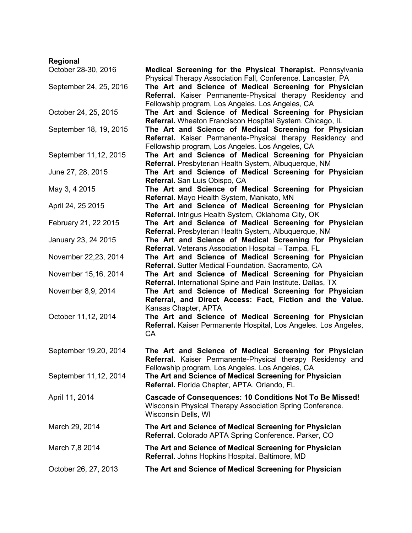| Regional               |                                                                                                                                                                          |
|------------------------|--------------------------------------------------------------------------------------------------------------------------------------------------------------------------|
| October 28-30, 2016    | Medical Screening for the Physical Therapist. Pennsylvania<br>Physical Therapy Association Fall, Conference. Lancaster, PA                                               |
| September 24, 25, 2016 | The Art and Science of Medical Screening for Physician<br>Referral. Kaiser Permanente-Physical therapy Residency and<br>Fellowship program, Los Angeles. Los Angeles, CA |
| October 24, 25, 2015   | The Art and Science of Medical Screening for Physician<br>Referral. Wheaton Franciscon Hospital System. Chicago, IL                                                      |
| September 18, 19, 2015 | The Art and Science of Medical Screening for Physician<br>Referral. Kaiser Permanente-Physical therapy Residency and<br>Fellowship program, Los Angeles. Los Angeles, CA |
| September 11,12, 2015  | The Art and Science of Medical Screening for Physician<br>Referral. Presbyterian Health System, Albuquerque, NM                                                          |
| June 27, 28, 2015      | The Art and Science of Medical Screening for Physician<br>Referral. San Luis Obispo, CA                                                                                  |
| May 3, 4 2015          | The Art and Science of Medical Screening for Physician<br>Referral. Mayo Health System, Mankato, MN                                                                      |
| April 24, 25 2015      | The Art and Science of Medical Screening for Physician<br>Referral. Intrigus Health System, Oklahoma City, OK                                                            |
| February 21, 22 2015   | The Art and Science of Medical Screening for Physician<br>Referral. Presbyterian Health System, Albuquerque, NM                                                          |
| January 23, 24 2015    | The Art and Science of Medical Screening for Physician<br>Referral. Veterans Association Hospital - Tampa, FL                                                            |
| November 22,23, 2014   | The Art and Science of Medical Screening for Physician<br>Referral. Sutter Medical Foundation. Sacramento, CA                                                            |
| November 15,16, 2014   | The Art and Science of Medical Screening for Physician<br>Referral. International Spine and Pain Institute. Dallas, TX                                                   |
| November 8,9, 2014     | The Art and Science of Medical Screening for Physician<br>Referral, and Direct Access: Fact, Fiction and the Value.<br>Kansas Chapter, APTA                              |
| October 11,12, 2014    | The Art and Science of Medical Screening for Physician<br>Referral. Kaiser Permanente Hospital, Los Angeles. Los Angeles,<br>CA                                          |
| September 19,20, 2014  | The Art and Science of Medical Screening for Physician<br>Referral. Kaiser Permanente-Physical therapy Residency and<br>Fellowship program, Los Angeles. Los Angeles, CA |
| September 11,12, 2014  | The Art and Science of Medical Screening for Physician<br>Referral. Florida Chapter, APTA. Orlando, FL                                                                   |
| April 11, 2014         | Cascade of Consequences: 10 Conditions Not To Be Missed!<br>Wisconsin Physical Therapy Association Spring Conference.<br>Wisconsin Dells, WI                             |
| March 29, 2014         | The Art and Science of Medical Screening for Physician<br>Referral. Colorado APTA Spring Conference. Parker, CO                                                          |
| March 7,8 2014         | The Art and Science of Medical Screening for Physician<br>Referral. Johns Hopkins Hospital. Baltimore, MD                                                                |
| October 26, 27, 2013   | The Art and Science of Medical Screening for Physician                                                                                                                   |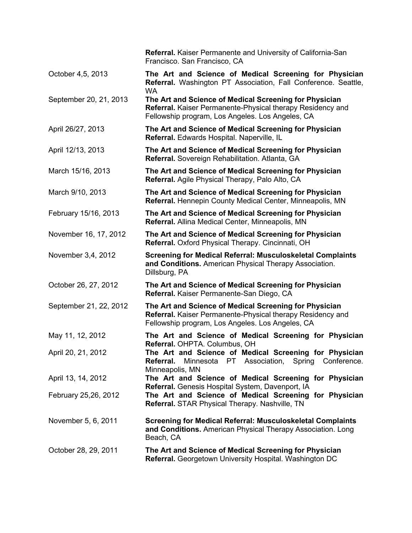|                        | Referral. Kaiser Permanente and University of California-San<br>Francisco. San Francisco, CA                                                                             |
|------------------------|--------------------------------------------------------------------------------------------------------------------------------------------------------------------------|
| October 4,5, 2013      | The Art and Science of Medical Screening for Physician<br>Referral. Washington PT Association, Fall Conference. Seattle,<br><b>WA</b>                                    |
| September 20, 21, 2013 | The Art and Science of Medical Screening for Physician<br>Referral. Kaiser Permanente-Physical therapy Residency and<br>Fellowship program, Los Angeles. Los Angeles, CA |
| April 26/27, 2013      | The Art and Science of Medical Screening for Physician<br>Referral. Edwards Hospital. Naperville, IL                                                                     |
| April 12/13, 2013      | The Art and Science of Medical Screening for Physician<br>Referral. Sovereign Rehabilitation. Atlanta, GA                                                                |
| March 15/16, 2013      | The Art and Science of Medical Screening for Physician<br>Referral. Agile Physical Therapy, Palo Alto, CA                                                                |
| March 9/10, 2013       | The Art and Science of Medical Screening for Physician<br>Referral. Hennepin County Medical Center, Minneapolis, MN                                                      |
| February 15/16, 2013   | The Art and Science of Medical Screening for Physician<br>Referral. Allina Medical Center, Minneapolis, MN                                                               |
| November 16, 17, 2012  | The Art and Science of Medical Screening for Physician<br>Referral. Oxford Physical Therapy. Cincinnati, OH                                                              |
| November 3,4, 2012     | <b>Screening for Medical Referral: Musculoskeletal Complaints</b><br>and Conditions. American Physical Therapy Association.<br>Dillsburg, PA                             |
| October 26, 27, 2012   | The Art and Science of Medical Screening for Physician<br>Referral. Kaiser Permanente-San Diego, CA                                                                      |
| September 21, 22, 2012 | The Art and Science of Medical Screening for Physician<br>Referral. Kaiser Permanente-Physical therapy Residency and<br>Fellowship program, Los Angeles. Los Angeles, CA |
| May 11, 12, 2012       | The Art and Science of Medical Screening for Physician<br>Referral. OHPTA. Columbus, OH                                                                                  |
| April 20, 21, 2012     | The Art and Science of Medical Screening for Physician<br>Minnesota PT Association, Spring Conference.<br>Referral.<br>Minneapolis, MN                                   |
| April 13, 14, 2012     | The Art and Science of Medical Screening for Physician                                                                                                                   |
| February 25,26, 2012   | Referral. Genesis Hospital System, Davenport, IA<br>The Art and Science of Medical Screening for Physician<br>Referral. STAR Physical Therapy. Nashville, TN             |
| November 5, 6, 2011    | <b>Screening for Medical Referral: Musculoskeletal Complaints</b><br>and Conditions. American Physical Therapy Association. Long<br>Beach, CA                            |
| October 28, 29, 2011   | The Art and Science of Medical Screening for Physician<br>Referral. Georgetown University Hospital. Washington DC                                                        |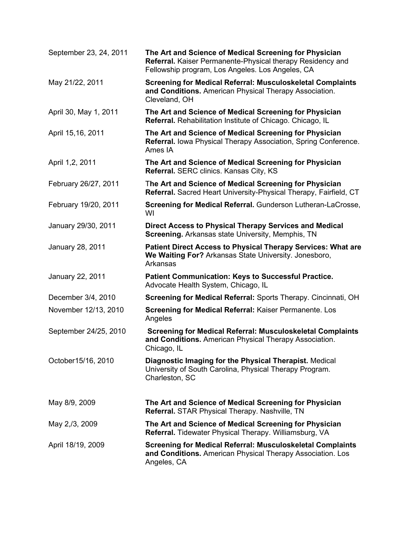| September 23, 24, 2011 | The Art and Science of Medical Screening for Physician<br>Referral. Kaiser Permanente-Physical therapy Residency and<br>Fellowship program, Los Angeles. Los Angeles, CA |
|------------------------|--------------------------------------------------------------------------------------------------------------------------------------------------------------------------|
| May 21/22, 2011        | <b>Screening for Medical Referral: Musculoskeletal Complaints</b><br>and Conditions. American Physical Therapy Association.<br>Cleveland, OH                             |
| April 30, May 1, 2011  | The Art and Science of Medical Screening for Physician<br>Referral. Rehabilitation Institute of Chicago. Chicago, IL                                                     |
| April 15,16, 2011      | The Art and Science of Medical Screening for Physician<br>Referral. Iowa Physical Therapy Association, Spring Conference.<br>Ames IA                                     |
| April 1,2, 2011        | The Art and Science of Medical Screening for Physician<br>Referral. SERC clinics. Kansas City, KS                                                                        |
| February 26/27, 2011   | The Art and Science of Medical Screening for Physician<br>Referral. Sacred Heart University-Physical Therapy, Fairfield, CT                                              |
| February 19/20, 2011   | Screening for Medical Referral. Gunderson Lutheran-LaCrosse,<br>WI                                                                                                       |
| January 29/30, 2011    | <b>Direct Access to Physical Therapy Services and Medical</b><br>Screening. Arkansas state University, Memphis, TN                                                       |
| January 28, 2011       | <b>Patient Direct Access to Physical Therapy Services: What are</b><br>We Waiting For? Arkansas State University. Jonesboro,<br>Arkansas                                 |
| January 22, 2011       | <b>Patient Communication: Keys to Successful Practice.</b><br>Advocate Health System, Chicago, IL                                                                        |
| December 3/4, 2010     | Screening for Medical Referral: Sports Therapy. Cincinnati, OH                                                                                                           |
| November 12/13, 2010   | <b>Screening for Medical Referral: Kaiser Permanente. Los</b><br>Angeles                                                                                                 |
| September 24/25, 2010  | <b>Screening for Medical Referral: Musculoskeletal Complaints</b><br>and Conditions. American Physical Therapy Association.<br>Chicago, IL                               |
| October15/16, 2010     | Diagnostic Imaging for the Physical Therapist. Medical<br>University of South Carolina, Physical Therapy Program.<br>Charleston, SC                                      |
| May 8/9, 2009          | The Art and Science of Medical Screening for Physician<br>Referral. STAR Physical Therapy. Nashville, TN                                                                 |
| May 2,/3, 2009         | The Art and Science of Medical Screening for Physician<br><b>Referral.</b> Tidewater Physical Therapy. Williamsburg, VA                                                  |
| April 18/19, 2009      | <b>Screening for Medical Referral: Musculoskeletal Complaints</b><br>and Conditions. American Physical Therapy Association. Los<br>Angeles, CA                           |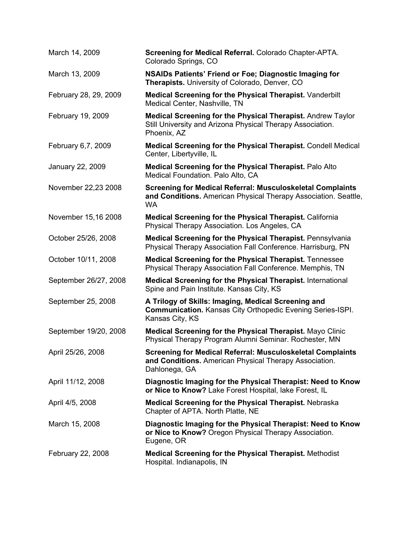| March 14, 2009        | Screening for Medical Referral. Colorado Chapter-APTA.<br>Colorado Springs, CO                                                                    |
|-----------------------|---------------------------------------------------------------------------------------------------------------------------------------------------|
| March 13, 2009        | <b>NSAIDs Patients' Friend or Foe; Diagnostic Imaging for</b><br>Therapists. University of Colorado, Denver, CO                                   |
| February 28, 29, 2009 | Medical Screening for the Physical Therapist. Vanderbilt<br>Medical Center, Nashville, TN                                                         |
| February 19, 2009     | <b>Medical Screening for the Physical Therapist. Andrew Taylor</b><br>Still University and Arizona Physical Therapy Association.<br>Phoenix, AZ   |
| February 6,7, 2009    | Medical Screening for the Physical Therapist. Condell Medical<br>Center, Libertyville, IL                                                         |
| January 22, 2009      | <b>Medical Screening for the Physical Therapist. Palo Alto</b><br>Medical Foundation. Palo Alto, CA                                               |
| November 22,23 2008   | <b>Screening for Medical Referral: Musculoskeletal Complaints</b><br>and Conditions. American Physical Therapy Association. Seattle,<br><b>WA</b> |
| November 15,16 2008   | <b>Medical Screening for the Physical Therapist. California</b><br>Physical Therapy Association. Los Angeles, CA                                  |
| October 25/26, 2008   | <b>Medical Screening for the Physical Therapist. Pennsylvania</b><br>Physical Therapy Association Fall Conference. Harrisburg, PN                 |
| October 10/11, 2008   | <b>Medical Screening for the Physical Therapist.</b> Tennessee<br>Physical Therapy Association Fall Conference. Memphis, TN                       |
| September 26/27, 2008 | <b>Medical Screening for the Physical Therapist. International</b><br>Spine and Pain Institute. Kansas City, KS                                   |
| September 25, 2008    | A Trilogy of Skills: Imaging, Medical Screening and<br><b>Communication.</b> Kansas City Orthopedic Evening Series-ISPI.<br>Kansas City, KS       |
| September 19/20, 2008 | Medical Screening for the Physical Therapist. Mayo Clinic<br>Physical Therapy Program Alumni Seminar. Rochester, MN                               |
| April 25/26, 2008     | <b>Screening for Medical Referral: Musculoskeletal Complaints</b><br>and Conditions. American Physical Therapy Association.<br>Dahlonega, GA      |
| April 11/12, 2008     | Diagnostic Imaging for the Physical Therapist: Need to Know<br>or Nice to Know? Lake Forest Hospital, lake Forest, IL                             |
| April 4/5, 2008       | <b>Medical Screening for the Physical Therapist. Nebraska</b><br>Chapter of APTA. North Platte, NE                                                |
| March 15, 2008        | Diagnostic Imaging for the Physical Therapist: Need to Know<br>or Nice to Know? Oregon Physical Therapy Association.<br>Eugene, OR                |
| February 22, 2008     | <b>Medical Screening for the Physical Therapist. Methodist</b><br>Hospital. Indianapolis, IN                                                      |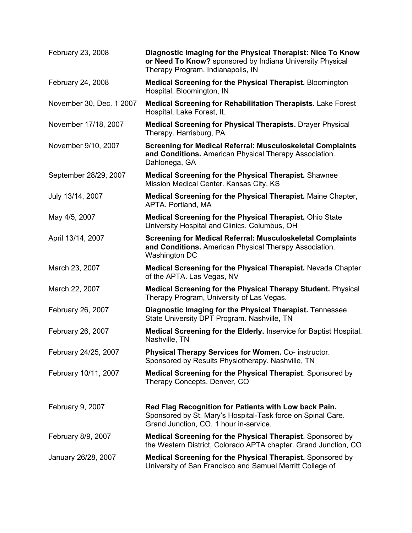| February 23, 2008        | Diagnostic Imaging for the Physical Therapist: Nice To Know<br>or Need To Know? sponsored by Indiana University Physical<br>Therapy Program. Indianapolis, IN  |
|--------------------------|----------------------------------------------------------------------------------------------------------------------------------------------------------------|
| February 24, 2008        | <b>Medical Screening for the Physical Therapist. Bloomington</b><br>Hospital. Bloomington, IN                                                                  |
| November 30, Dec. 1 2007 | <b>Medical Screening for Rehabilitation Therapists. Lake Forest</b><br>Hospital, Lake Forest, IL                                                               |
| November 17/18, 2007     | <b>Medical Screening for Physical Therapists.</b> Drayer Physical<br>Therapy. Harrisburg, PA                                                                   |
| November 9/10, 2007      | <b>Screening for Medical Referral: Musculoskeletal Complaints</b><br>and Conditions. American Physical Therapy Association.<br>Dahlonega, GA                   |
| September 28/29, 2007    | <b>Medical Screening for the Physical Therapist.</b> Shawnee<br>Mission Medical Center. Kansas City, KS                                                        |
| July 13/14, 2007         | Medical Screening for the Physical Therapist. Maine Chapter,<br>APTA. Portland, MA                                                                             |
| May 4/5, 2007            | Medical Screening for the Physical Therapist. Ohio State<br>University Hospital and Clinics. Columbus, OH                                                      |
| April 13/14, 2007        | <b>Screening for Medical Referral: Musculoskeletal Complaints</b><br>and Conditions. American Physical Therapy Association.<br>Washington DC                   |
| March 23, 2007           | Medical Screening for the Physical Therapist. Nevada Chapter<br>of the APTA. Las Vegas, NV                                                                     |
| March 22, 2007           | <b>Medical Screening for the Physical Therapy Student. Physical</b><br>Therapy Program, University of Las Vegas.                                               |
| February 26, 2007        | Diagnostic Imaging for the Physical Therapist. Tennessee<br>State University DPT Program. Nashville, TN                                                        |
| February 26, 2007        | Medical Screening for the Elderly. Inservice for Baptist Hospital.<br>Nashville, TN                                                                            |
| February 24/25, 2007     | Physical Therapy Services for Women. Co- instructor.<br>Sponsored by Results Physiotherapy. Nashville, TN                                                      |
| February 10/11, 2007     | Medical Screening for the Physical Therapist. Sponsored by<br>Therapy Concepts. Denver, CO                                                                     |
| February 9, 2007         | Red Flag Recognition for Patients with Low back Pain.<br>Sponsored by St. Mary's Hospital-Task force on Spinal Care.<br>Grand Junction, CO. 1 hour in-service. |
| February 8/9, 2007       | <b>Medical Screening for the Physical Therapist.</b> Sponsored by<br>the Western District, Colorado APTA chapter. Grand Junction, CO                           |
| January 26/28, 2007      | Medical Screening for the Physical Therapist. Sponsored by<br>University of San Francisco and Samuel Merritt College of                                        |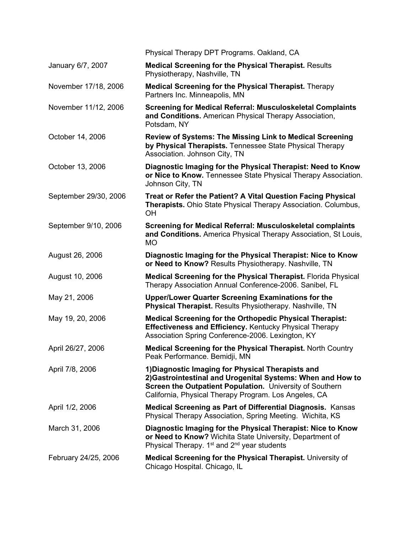|                       | Physical Therapy DPT Programs. Oakland, CA                                                                                                                                                                                            |
|-----------------------|---------------------------------------------------------------------------------------------------------------------------------------------------------------------------------------------------------------------------------------|
| January 6/7, 2007     | <b>Medical Screening for the Physical Therapist. Results</b><br>Physiotherapy, Nashville, TN                                                                                                                                          |
| November 17/18, 2006  | <b>Medical Screening for the Physical Therapist.</b> Therapy<br>Partners Inc. Minneapolis, MN                                                                                                                                         |
| November 11/12, 2006  | <b>Screening for Medical Referral: Musculoskeletal Complaints</b><br>and Conditions. American Physical Therapy Association,<br>Potsdam, NY                                                                                            |
| October 14, 2006      | <b>Review of Systems: The Missing Link to Medical Screening</b><br>by Physical Therapists. Tennessee State Physical Therapy<br>Association. Johnson City, TN                                                                          |
| October 13, 2006      | Diagnostic Imaging for the Physical Therapist: Need to Know<br>or Nice to Know. Tennessee State Physical Therapy Association.<br>Johnson City, TN                                                                                     |
| September 29/30, 2006 | Treat or Refer the Patient? A Vital Question Facing Physical<br>Therapists. Ohio State Physical Therapy Association. Columbus,<br>OH                                                                                                  |
| September 9/10, 2006  | <b>Screening for Medical Referral: Musculoskeletal complaints</b><br>and Conditions. America Physical Therapy Association, St Louis,<br><b>MO</b>                                                                                     |
| August 26, 2006       | Diagnostic Imaging for the Physical Therapist: Nice to Know<br>or Need to Know? Results Physiotherapy. Nashville, TN                                                                                                                  |
| August 10, 2006       | Medical Screening for the Physical Therapist. Florida Physical<br>Therapy Association Annual Conference-2006. Sanibel, FL                                                                                                             |
| May 21, 2006          | Upper/Lower Quarter Screening Examinations for the<br>Physical Therapist. Results Physiotherapy. Nashville, TN                                                                                                                        |
| May 19, 20, 2006      | <b>Medical Screening for the Orthopedic Physical Therapist:</b><br><b>Effectiveness and Efficiency. Kentucky Physical Therapy</b><br>Association Spring Conference-2006. Lexington, KY                                                |
| April 26/27, 2006     | Medical Screening for the Physical Therapist. North Country<br>Peak Performance. Bemidji, MN                                                                                                                                          |
| April 7/8, 2006       | 1) Diagnostic Imaging for Physical Therapists and<br>2) Gastrointestinal and Urogenital Systems: When and How to<br>Screen the Outpatient Population. University of Southern<br>California, Physical Therapy Program. Los Angeles, CA |
| April 1/2, 2006       | Medical Screening as Part of Differential Diagnosis. Kansas<br>Physical Therapy Association, Spring Meeting. Wichita, KS                                                                                                              |
| March 31, 2006        | Diagnostic Imaging for the Physical Therapist: Nice to Know<br>or Need to Know? Wichita State University, Department of<br>Physical Therapy. 1 <sup>st</sup> and 2 <sup>nd</sup> year students                                        |
| February 24/25, 2006  | Medical Screening for the Physical Therapist. University of<br>Chicago Hospital. Chicago, IL                                                                                                                                          |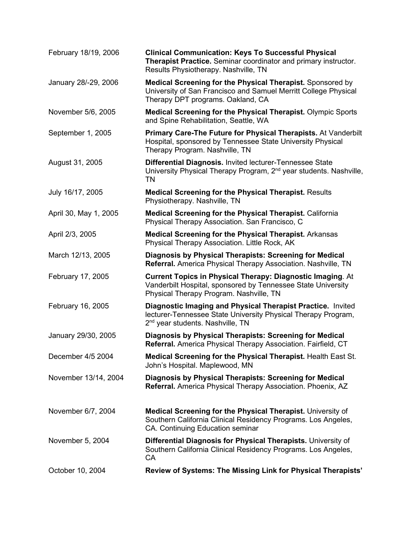| February 18/19, 2006  | <b>Clinical Communication: Keys To Successful Physical</b><br>Therapist Practice. Seminar coordinator and primary instructor.<br>Results Physiotherapy. Nashville, TN        |
|-----------------------|------------------------------------------------------------------------------------------------------------------------------------------------------------------------------|
| January 28/-29, 2006  | Medical Screening for the Physical Therapist. Sponsored by<br>University of San Francisco and Samuel Merritt College Physical<br>Therapy DPT programs. Oakland, CA           |
| November 5/6, 2005    | Medical Screening for the Physical Therapist. Olympic Sports<br>and Spine Rehabilitation, Seattle, WA                                                                        |
| September 1, 2005     | Primary Care-The Future for Physical Therapists. At Vanderbilt<br>Hospital, sponsored by Tennessee State University Physical<br>Therapy Program. Nashville, TN               |
| August 31, 2005       | Differential Diagnosis. Invited lecturer-Tennessee State<br>University Physical Therapy Program, 2 <sup>nd</sup> year students. Nashville,<br><b>TN</b>                      |
| July 16/17, 2005      | <b>Medical Screening for the Physical Therapist. Results</b><br>Physiotherapy. Nashville, TN                                                                                 |
| April 30, May 1, 2005 | <b>Medical Screening for the Physical Therapist. California</b><br>Physical Therapy Association. San Francisco, C                                                            |
| April 2/3, 2005       | <b>Medical Screening for the Physical Therapist. Arkansas</b><br>Physical Therapy Association. Little Rock, AK                                                               |
| March 12/13, 2005     | Diagnosis by Physical Therapists: Screening for Medical<br>Referral. America Physical Therapy Association. Nashville, TN                                                     |
| February 17, 2005     | <b>Current Topics in Physical Therapy: Diagnostic Imaging. At</b><br>Vanderbilt Hospital, sponsored by Tennessee State University<br>Physical Therapy Program. Nashville, TN |
| February 16, 2005     | Diagnostic Imaging and Physical Therapist Practice. Invited<br>lecturer-Tennessee State University Physical Therapy Program,<br>2 <sup>nd</sup> year students. Nashville, TN |
| January 29/30, 2005   | Diagnosis by Physical Therapists: Screening for Medical<br>Referral. America Physical Therapy Association. Fairfield, CT                                                     |
| December 4/5 2004     | Medical Screening for the Physical Therapist. Health East St.<br>John's Hospital. Maplewood, MN                                                                              |
| November 13/14, 2004  | Diagnosis by Physical Therapists: Screening for Medical<br>Referral. America Physical Therapy Association. Phoenix, AZ                                                       |
| November 6/7, 2004    | Medical Screening for the Physical Therapist. University of<br>Southern California Clinical Residency Programs. Los Angeles,<br>CA. Continuing Education seminar             |
| November 5, 2004      | Differential Diagnosis for Physical Therapists. University of<br>Southern California Clinical Residency Programs. Los Angeles,<br>CA                                         |
| October 10, 2004      | Review of Systems: The Missing Link for Physical Therapists'                                                                                                                 |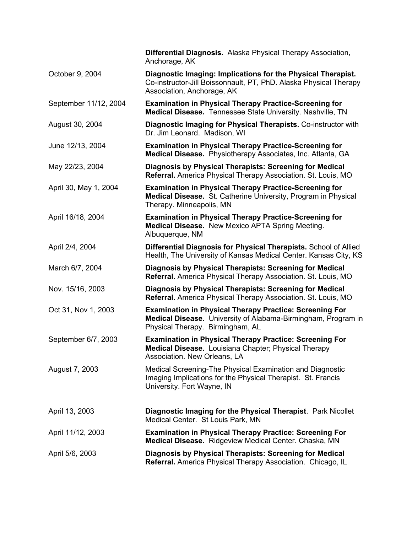|                       | Differential Diagnosis. Alaska Physical Therapy Association,<br>Anchorage, AK                                                                                       |
|-----------------------|---------------------------------------------------------------------------------------------------------------------------------------------------------------------|
| October 9, 2004       | Diagnostic Imaging: Implications for the Physical Therapist.<br>Co-instructor-Jill Boissonnault, PT, PhD. Alaska Physical Therapy<br>Association, Anchorage, AK     |
| September 11/12, 2004 | <b>Examination in Physical Therapy Practice-Screening for</b><br>Medical Disease. Tennessee State University. Nashville, TN                                         |
| August 30, 2004       | Diagnostic Imaging for Physical Therapists. Co-instructor with<br>Dr. Jim Leonard. Madison, WI                                                                      |
| June 12/13, 2004      | <b>Examination in Physical Therapy Practice-Screening for</b><br>Medical Disease. Physiotherapy Associates, Inc. Atlanta, GA                                        |
| May 22/23, 2004       | Diagnosis by Physical Therapists: Screening for Medical<br>Referral. America Physical Therapy Association. St. Louis, MO                                            |
| April 30, May 1, 2004 | <b>Examination in Physical Therapy Practice-Screening for</b><br>Medical Disease. St. Catherine University, Program in Physical<br>Therapy. Minneapolis, MN         |
| April 16/18, 2004     | <b>Examination in Physical Therapy Practice-Screening for</b><br>Medical Disease. New Mexico APTA Spring Meeting.<br>Albuquerque, NM                                |
| April 2/4, 2004       | Differential Diagnosis for Physical Therapists. School of Allied<br>Health, The University of Kansas Medical Center. Kansas City, KS                                |
| March 6/7, 2004       | Diagnosis by Physical Therapists: Screening for Medical<br><b>Referral.</b> America Physical Therapy Association. St. Louis, MO                                     |
| Nov. 15/16, 2003      | Diagnosis by Physical Therapists: Screening for Medical<br>Referral. America Physical Therapy Association. St. Louis, MO                                            |
| Oct 31, Nov 1, 2003   | <b>Examination in Physical Therapy Practice: Screening For</b><br>Medical Disease. University of Alabama-Birmingham, Program in<br>Physical Therapy. Birmingham, AL |
| September 6/7, 2003   | <b>Examination in Physical Therapy Practice: Screening For</b><br>Medical Disease. Louisiana Chapter; Physical Therapy<br>Association. New Orleans, LA              |
| August 7, 2003        | Medical Screening-The Physical Examination and Diagnostic<br>Imaging Implications for the Physical Therapist. St. Francis<br>University. Fort Wayne, IN             |
| April 13, 2003        | Diagnostic Imaging for the Physical Therapist. Park Nicollet<br>Medical Center. St Louis Park, MN                                                                   |
| April 11/12, 2003     | <b>Examination in Physical Therapy Practice: Screening For</b><br>Medical Disease. Ridgeview Medical Center. Chaska, MN                                             |
| April 5/6, 2003       | Diagnosis by Physical Therapists: Screening for Medical<br>Referral. America Physical Therapy Association. Chicago, IL                                              |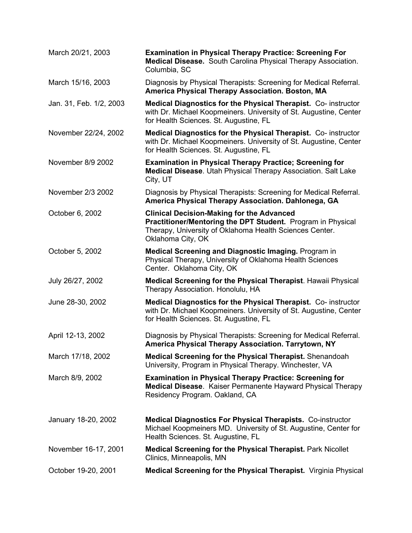| March 20/21, 2003       | <b>Examination in Physical Therapy Practice: Screening For</b><br>Medical Disease. South Carolina Physical Therapy Association.<br>Columbia, SC                                                 |
|-------------------------|-------------------------------------------------------------------------------------------------------------------------------------------------------------------------------------------------|
| March 15/16, 2003       | Diagnosis by Physical Therapists: Screening for Medical Referral.<br>America Physical Therapy Association. Boston, MA                                                                           |
| Jan. 31, Feb. 1/2, 2003 | Medical Diagnostics for the Physical Therapist. Co-instructor<br>with Dr. Michael Koopmeiners. University of St. Augustine, Center<br>for Health Sciences. St. Augustine, FL                    |
| November 22/24, 2002    | Medical Diagnostics for the Physical Therapist. Co-instructor<br>with Dr. Michael Koopmeiners. University of St. Augustine, Center<br>for Health Sciences. St. Augustine, FL                    |
| November 8/9 2002       | <b>Examination in Physical Therapy Practice; Screening for</b><br>Medical Disease. Utah Physical Therapy Association. Salt Lake<br>City, UT                                                     |
| November 2/3 2002       | Diagnosis by Physical Therapists: Screening for Medical Referral.<br>America Physical Therapy Association. Dahlonega, GA                                                                        |
| October 6, 2002         | <b>Clinical Decision-Making for the Advanced</b><br>Practitioner/Mentoring the DPT Student. Program in Physical<br>Therapy, University of Oklahoma Health Sciences Center.<br>Oklahoma City, OK |
| October 5, 2002         | <b>Medical Screening and Diagnostic Imaging. Program in</b><br>Physical Therapy, University of Oklahoma Health Sciences<br>Center. Oklahoma City, OK                                            |
| July 26/27, 2002        | Medical Screening for the Physical Therapist. Hawaii Physical<br>Therapy Association. Honolulu, HA                                                                                              |
| June 28-30, 2002        | Medical Diagnostics for the Physical Therapist. Co- instructor<br>with Dr. Michael Koopmeiners. University of St. Augustine, Center<br>for Health Sciences. St. Augustine, FL                   |
| April 12-13, 2002       | Diagnosis by Physical Therapists: Screening for Medical Referral.<br>America Physical Therapy Association. Tarrytown, NY                                                                        |
| March 17/18, 2002       | Medical Screening for the Physical Therapist. Shenandoah<br>University, Program in Physical Therapy. Winchester, VA                                                                             |
| March 8/9, 2002         | <b>Examination in Physical Therapy Practice: Screening for</b><br><b>Medical Disease.</b> Kaiser Permanente Hayward Physical Therapy<br>Residency Program. Oakland, CA                          |
| January 18-20, 2002     | <b>Medical Diagnostics For Physical Therapists. Co-instructor</b><br>Michael Koopmeiners MD. University of St. Augustine, Center for<br>Health Sciences. St. Augustine, FL                      |
| November 16-17, 2001    | <b>Medical Screening for the Physical Therapist. Park Nicollet</b><br>Clinics, Minneapolis, MN                                                                                                  |
| October 19-20, 2001     | Medical Screening for the Physical Therapist. Virginia Physical                                                                                                                                 |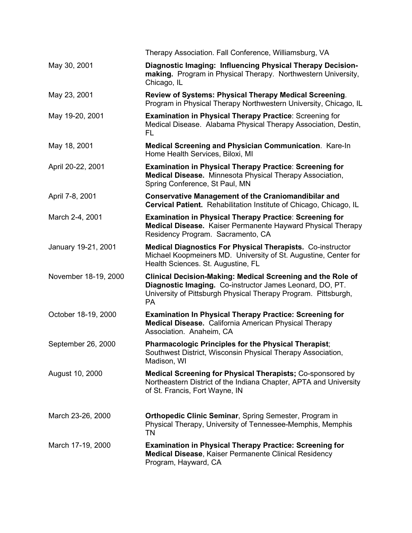|                      | Therapy Association. Fall Conference, Williamsburg, VA                                                                                                                                                 |
|----------------------|--------------------------------------------------------------------------------------------------------------------------------------------------------------------------------------------------------|
| May 30, 2001         | Diagnostic Imaging: Influencing Physical Therapy Decision-<br>making. Program in Physical Therapy. Northwestern University,<br>Chicago, IL                                                             |
| May 23, 2001         | Review of Systems: Physical Therapy Medical Screening.<br>Program in Physical Therapy Northwestern University, Chicago, IL                                                                             |
| May 19-20, 2001      | <b>Examination in Physical Therapy Practice: Screening for</b><br>Medical Disease. Alabama Physical Therapy Association, Destin,<br><b>FL</b>                                                          |
| May 18, 2001         | Medical Screening and Physician Communication. Kare-In<br>Home Health Services, Biloxi, MI                                                                                                             |
| April 20-22, 2001    | <b>Examination in Physical Therapy Practice: Screening for</b><br>Medical Disease. Minnesota Physical Therapy Association,<br>Spring Conference, St Paul, MN                                           |
| April 7-8, 2001      | <b>Conservative Management of the Craniomandibilar and</b><br>Cervical Patient. Rehabilitation Institute of Chicago, Chicago, IL                                                                       |
| March 2-4, 2001      | <b>Examination in Physical Therapy Practice: Screening for</b><br><b>Medical Disease.</b> Kaiser Permanente Hayward Physical Therapy<br>Residency Program. Sacramento, CA                              |
| January 19-21, 2001  | <b>Medical Diagnostics For Physical Therapists. Co-instructor</b><br>Michael Koopmeiners MD. University of St. Augustine, Center for<br>Health Sciences. St. Augustine, FL                             |
| November 18-19, 2000 | Clinical Decision-Making: Medical Screening and the Role of<br>Diagnostic Imaging. Co-instructor James Leonard, DO, PT.<br>University of Pittsburgh Physical Therapy Program. Pittsburgh,<br><b>PA</b> |
| October 18-19, 2000  | <b>Examination In Physical Therapy Practice: Screening for</b><br><b>Medical Disease.</b> California American Physical Therapy<br>Association. Anaheim, CA                                             |
| September 26, 2000   | Pharmacologic Principles for the Physical Therapist;<br>Southwest District, Wisconsin Physical Therapy Association,<br>Madison, WI                                                                     |
| August 10, 2000      | <b>Medical Screening for Physical Therapists; Co-sponsored by</b><br>Northeastern District of the Indiana Chapter, APTA and University<br>of St. Francis, Fort Wayne, IN                               |
| March 23-26, 2000    | <b>Orthopedic Clinic Seminar, Spring Semester, Program in</b><br>Physical Therapy, University of Tennessee-Memphis, Memphis<br>TN                                                                      |
| March 17-19, 2000    | <b>Examination in Physical Therapy Practice: Screening for</b><br><b>Medical Disease, Kaiser Permanente Clinical Residency</b><br>Program, Hayward, CA                                                 |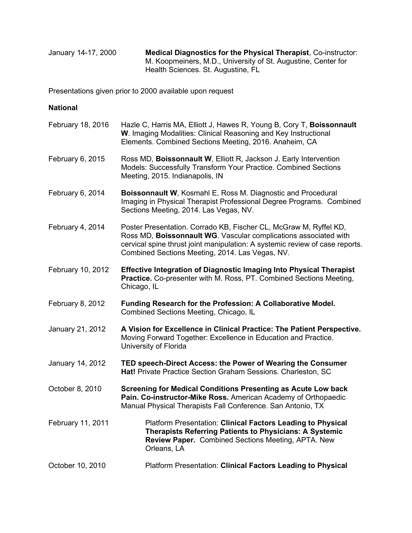January 14-17, 2000 **Medical Diagnostics for the Physical Therapist**, Co-instructor: M. Koopmeiners, M.D., University of St. Augustine, Center for Health Sciences. St. Augustine, FL

Presentations given prior to 2000 available upon request

## **National**

| February 18, 2016 | Hazle C, Harris MA, Elliott J, Hawes R, Young B, Cory T, Boissonnault<br>W. Imaging Modalities: Clinical Reasoning and Key Instructional<br>Elements. Combined Sections Meeting, 2016. Anaheim, CA                                                                       |
|-------------------|--------------------------------------------------------------------------------------------------------------------------------------------------------------------------------------------------------------------------------------------------------------------------|
| February 6, 2015  | Ross MD, Boissonnault W, Elliott R, Jackson J. Early Intervention<br>Models: Successfully Transform Your Practice. Combined Sections<br>Meeting, 2015. Indianapolis, IN                                                                                                  |
| February 6, 2014  | <b>Boissonnault W, Kosmahl E, Ross M. Diagnostic and Procedural</b><br>Imaging in Physical Therapist Professional Degree Programs. Combined<br>Sections Meeting, 2014. Las Vegas, NV.                                                                                    |
| February 4, 2014  | Poster Presentation. Corrado KB, Fischer CL, McGraw M, Ryffel KD,<br>Ross MD, Boissonnault WG. Vascular complications associated with<br>cervical spine thrust joint manipulation: A systemic review of case reports.<br>Combined Sections Meeting, 2014. Las Vegas, NV. |
| February 10, 2012 | <b>Effective Integration of Diagnostic Imaging Into Physical Therapist</b><br><b>Practice.</b> Co-presenter with M. Ross, PT. Combined Sections Meeting,<br>Chicago, IL                                                                                                  |
| February 8, 2012  | Funding Research for the Profession: A Collaborative Model.<br>Combined Sections Meeting, Chicago, IL                                                                                                                                                                    |
| January 21, 2012  | A Vision for Excellence in Clinical Practice: The Patient Perspective.<br>Moving Forward Together: Excellence in Education and Practice.<br>University of Florida                                                                                                        |
| January 14, 2012  | TED speech-Direct Access: the Power of Wearing the Consumer<br>Hat! Private Practice Section Graham Sessions. Charleston, SC                                                                                                                                             |
| October 8, 2010   | <b>Screening for Medical Conditions Presenting as Acute Low back</b><br>Pain. Co-instructor-Mike Ross. American Academy of Orthopaedic<br>Manual Physical Therapists Fall Conference. San Antonio, TX                                                                    |
| February 11, 2011 | Platform Presentation: Clinical Factors Leading to Physical<br><b>Therapists Referring Patients to Physicians: A Systemic</b><br>Review Paper. Combined Sections Meeting, APTA. New<br>Orleans, LA                                                                       |
| October 10, 2010  | Platform Presentation: Clinical Factors Leading to Physical                                                                                                                                                                                                              |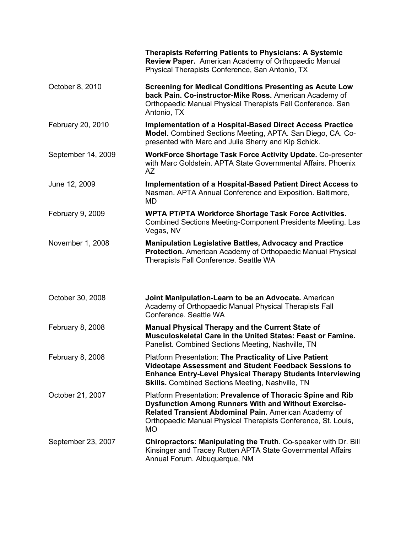|                    | <b>Therapists Referring Patients to Physicians: A Systemic</b><br>Review Paper. American Academy of Orthopaedic Manual<br>Physical Therapists Conference, San Antonio, TX                                                                                         |
|--------------------|-------------------------------------------------------------------------------------------------------------------------------------------------------------------------------------------------------------------------------------------------------------------|
| October 8, 2010    | <b>Screening for Medical Conditions Presenting as Acute Low</b><br>back Pain. Co-instructor-Mike Ross. American Academy of<br>Orthopaedic Manual Physical Therapists Fall Conference. San<br>Antonio, TX                                                          |
| February 20, 2010  | <b>Implementation of a Hospital-Based Direct Access Practice</b><br>Model. Combined Sections Meeting, APTA. San Diego, CA. Co-<br>presented with Marc and Julie Sherry and Kip Schick.                                                                            |
| September 14, 2009 | <b>WorkForce Shortage Task Force Activity Update. Co-presenter</b><br>with Marc Goldstein. APTA State Governmental Affairs. Phoenix<br><b>AZ</b>                                                                                                                  |
| June 12, 2009      | Implementation of a Hospital-Based Patient Direct Access to<br>Nasman. APTA Annual Conference and Exposition. Baltimore,<br>MD                                                                                                                                    |
| February 9, 2009   | <b>WPTA PT/PTA Workforce Shortage Task Force Activities.</b><br>Combined Sections Meeting-Component Presidents Meeting. Las<br>Vegas, NV                                                                                                                          |
| November 1, 2008   | <b>Manipulation Legislative Battles, Advocacy and Practice</b><br>Protection. American Academy of Orthopaedic Manual Physical<br>Therapists Fall Conference. Seattle WA                                                                                           |
| October 30, 2008   | Joint Manipulation-Learn to be an Advocate. American<br>Academy of Orthopaedic Manual Physical Therapists Fall<br>Conference, Seattle WA                                                                                                                          |
| February 8, 2008   | <b>Manual Physical Therapy and the Current State of</b><br>Musculoskeletal Care in the United States: Feast or Famine.<br>Panelist. Combined Sections Meeting, Nashville, TN                                                                                      |
| February 8, 2008   | Platform Presentation: The Practicality of Live Patient<br>Videotape Assessment and Student Feedback Sessions to<br><b>Enhance Entry-Level Physical Therapy Students Interviewing</b><br><b>Skills.</b> Combined Sections Meeting, Nashville, TN                  |
| October 21, 2007   | Platform Presentation: Prevalence of Thoracic Spine and Rib<br><b>Dysfunction Among Runners With and Without Exercise-</b><br>Related Transient Abdominal Pain. American Academy of<br>Orthopaedic Manual Physical Therapists Conference, St. Louis,<br><b>MO</b> |
| September 23, 2007 | Chiropractors: Manipulating the Truth. Co-speaker with Dr. Bill<br>Kinsinger and Tracey Rutten APTA State Governmental Affairs<br>Annual Forum. Albuquerque, NM                                                                                                   |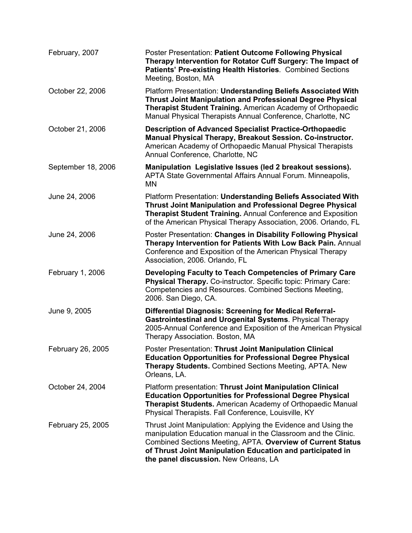| February, 2007     | Poster Presentation: Patient Outcome Following Physical<br>Therapy Intervention for Rotator Cuff Surgery: The Impact of<br>Patients' Pre-existing Health Histories. Combined Sections<br>Meeting, Boston, MA                                                                                           |
|--------------------|--------------------------------------------------------------------------------------------------------------------------------------------------------------------------------------------------------------------------------------------------------------------------------------------------------|
| October 22, 2006   | Platform Presentation: Understanding Beliefs Associated With<br><b>Thrust Joint Manipulation and Professional Degree Physical</b><br>Therapist Student Training. American Academy of Orthopaedic<br>Manual Physical Therapists Annual Conference, Charlotte, NC                                        |
| October 21, 2006   | <b>Description of Advanced Specialist Practice-Orthopaedic</b><br>Manual Physical Therapy, Breakout Session. Co-instructor.<br>American Academy of Orthopaedic Manual Physical Therapists<br>Annual Conference, Charlotte, NC                                                                          |
| September 18, 2006 | Manipulation Legislative Issues (led 2 breakout sessions).<br>APTA State Governmental Affairs Annual Forum. Minneapolis,<br><b>MN</b>                                                                                                                                                                  |
| June 24, 2006      | Platform Presentation: Understanding Beliefs Associated With<br><b>Thrust Joint Manipulation and Professional Degree Physical</b><br><b>Therapist Student Training. Annual Conference and Exposition</b><br>of the American Physical Therapy Association, 2006. Orlando, FL                            |
| June 24, 2006      | Poster Presentation: Changes in Disability Following Physical<br>Therapy Intervention for Patients With Low Back Pain. Annual<br>Conference and Exposition of the American Physical Therapy<br>Association, 2006. Orlando, FL                                                                          |
| February 1, 2006   | Developing Faculty to Teach Competencies of Primary Care<br>Physical Therapy. Co-instructor. Specific topic: Primary Care:<br>Competencies and Resources. Combined Sections Meeting,<br>2006. San Diego, CA.                                                                                           |
| June 9, 2005       | <b>Differential Diagnosis: Screening for Medical Referral-</b><br>Gastrointestinal and Urogenital Systems. Physical Therapy<br>2005-Annual Conference and Exposition of the American Physical<br>Therapy Association. Boston, MA                                                                       |
| February 26, 2005  | Poster Presentation: Thrust Joint Manipulation Clinical<br><b>Education Opportunities for Professional Degree Physical</b><br><b>Therapy Students.</b> Combined Sections Meeting, APTA. New<br>Orleans, LA.                                                                                            |
| October 24, 2004   | Platform presentation: Thrust Joint Manipulation Clinical<br><b>Education Opportunities for Professional Degree Physical</b><br><b>Therapist Students.</b> American Academy of Orthopaedic Manual<br>Physical Therapists. Fall Conference, Louisville, KY                                              |
| February 25, 2005  | Thrust Joint Manipulation: Applying the Evidence and Using the<br>manipulation Education manual in the Classroom and the Clinic.<br>Combined Sections Meeting, APTA. Overview of Current Status<br>of Thrust Joint Manipulation Education and participated in<br>the panel discussion. New Orleans, LA |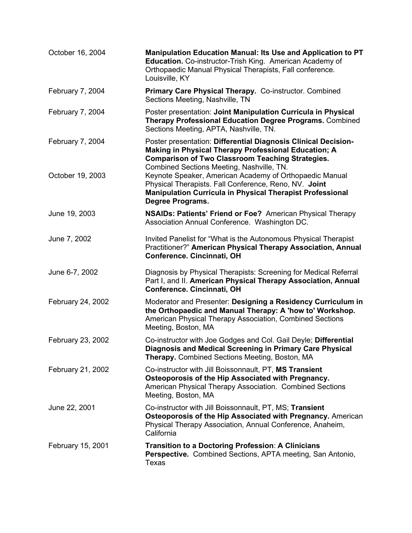| October 16, 2004  | Manipulation Education Manual: Its Use and Application to PT<br>Education. Co-instructor-Trish King. American Academy of<br>Orthopaedic Manual Physical Therapists, Fall conference.<br>Louisville, KY                         |
|-------------------|--------------------------------------------------------------------------------------------------------------------------------------------------------------------------------------------------------------------------------|
| February 7, 2004  | Primary Care Physical Therapy. Co-instructor. Combined<br>Sections Meeting, Nashville, TN                                                                                                                                      |
| February 7, 2004  | Poster presentation: Joint Manipulation Curricula in Physical<br><b>Therapy Professional Education Degree Programs. Combined</b><br>Sections Meeting, APTA, Nashville, TN.                                                     |
| February 7, 2004  | Poster presentation: Differential Diagnosis Clinical Decision-<br>Making in Physical Therapy Professional Education; A<br><b>Comparison of Two Classroom Teaching Strategies.</b><br>Combined Sections Meeting, Nashville, TN. |
| October 19, 2003  | Keynote Speaker, American Academy of Orthopaedic Manual<br>Physical Therapists. Fall Conference, Reno, NV. Joint<br><b>Manipulation Curricula in Physical Therapist Professional</b><br>Degree Programs.                       |
| June 19, 2003     | <b>NSAIDs: Patients' Friend or Foe?</b> American Physical Therapy<br>Association Annual Conference. Washington DC.                                                                                                             |
| June 7, 2002      | Invited Panelist for "What is the Autonomous Physical Therapist<br>Practitioner?" American Physical Therapy Association, Annual<br>Conference. Cincinnati, OH                                                                  |
| June 6-7, 2002    | Diagnosis by Physical Therapists: Screening for Medical Referral<br>Part I, and II. American Physical Therapy Association, Annual<br>Conference. Cincinnati, OH                                                                |
| February 24, 2002 | Moderator and Presenter: Designing a Residency Curriculum in<br>the Orthopaedic and Manual Therapy: A 'how to' Workshop.<br>American Physical Therapy Association, Combined Sections<br>Meeting, Boston, MA                    |
| February 23, 2002 | Co-instructor with Joe Godges and Col. Gail Deyle; Differential<br>Diagnosis and Medical Screening in Primary Care Physical<br><b>Therapy.</b> Combined Sections Meeting, Boston, MA                                           |
| February 21, 2002 | Co-instructor with Jill Boissonnault, PT, MS Transient<br>Osteoporosis of the Hip Associated with Pregnancy.<br>American Physical Therapy Association. Combined Sections<br>Meeting, Boston, MA                                |
| June 22, 2001     | Co-instructor with Jill Boissonnault, PT, MS; Transient<br>Osteoporosis of the Hip Associated with Pregnancy. American<br>Physical Therapy Association, Annual Conference, Anaheim,<br>California                              |
| February 15, 2001 | Transition to a Doctoring Profession: A Clinicians<br><b>Perspective.</b> Combined Sections, APTA meeting, San Antonio,<br>Texas                                                                                               |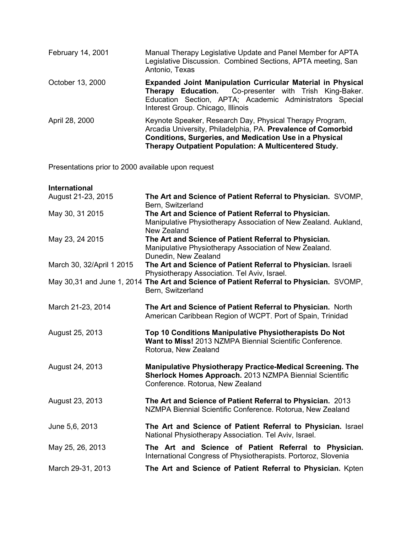| February 14, 2001 | Manual Therapy Legislative Update and Panel Member for APTA<br>Legislative Discussion. Combined Sections, APTA meeting, San<br>Antonio, Texas                                                                                                       |
|-------------------|-----------------------------------------------------------------------------------------------------------------------------------------------------------------------------------------------------------------------------------------------------|
| October 13, 2000  | <b>Expanded Joint Manipulation Curricular Material in Physical</b><br>Therapy Education. Co-presenter with Trish King-Baker.<br>Education Section, APTA; Academic Administrators Special<br>Interest Group. Chicago, Illinois                       |
| April 28, 2000    | Keynote Speaker, Research Day, Physical Therapy Program,<br>Arcadia University, Philadelphia, PA. Prevalence of Comorbid<br><b>Conditions, Surgeries, and Medication Use in a Physical</b><br>Therapy Outpatient Population: A Multicentered Study. |

Presentations prior to 2000 available upon request

| <b>International</b>      |                                                                                                                                                                  |
|---------------------------|------------------------------------------------------------------------------------------------------------------------------------------------------------------|
| August 21-23, 2015        | The Art and Science of Patient Referral to Physician. SVOMP,<br>Bern, Switzerland                                                                                |
| May 30, 31 2015           | The Art and Science of Patient Referral to Physician.<br>Manipulative Physiotherapy Association of New Zealand. Aukland,<br>New Zealand                          |
| May 23, 24 2015           | The Art and Science of Patient Referral to Physician.<br>Manipulative Physiotherapy Association of New Zealand.<br>Dunedin, New Zealand                          |
| March 30, 32/April 1 2015 | The Art and Science of Patient Referral to Physician. Israeli<br>Physiotherapy Association. Tel Aviv, Israel.                                                    |
|                           | May 30,31 and June 1, 2014 The Art and Science of Patient Referral to Physician. SVOMP,<br>Bern, Switzerland                                                     |
| March 21-23, 2014         | The Art and Science of Patient Referral to Physician. North<br>American Caribbean Region of WCPT. Port of Spain, Trinidad                                        |
| August 25, 2013           | Top 10 Conditions Manipulative Physiotherapists Do Not<br>Want to Miss! 2013 NZMPA Biennial Scientific Conference.<br>Rotorua, New Zealand                       |
| August 24, 2013           | <b>Manipulative Physiotherapy Practice-Medical Screening. The</b><br>Sherlock Homes Approach. 2013 NZMPA Biennial Scientific<br>Conference. Rotorua, New Zealand |
| August 23, 2013           | The Art and Science of Patient Referral to Physician. 2013<br>NZMPA Biennial Scientific Conference. Rotorua, New Zealand                                         |
| June 5,6, 2013            | The Art and Science of Patient Referral to Physician. Israel<br>National Physiotherapy Association. Tel Aviv, Israel.                                            |
| May 25, 26, 2013          | The Art and Science of Patient Referral to Physician.<br>International Congress of Physiotherapists. Portoroz, Slovenia                                          |
| March 29-31, 2013         | The Art and Science of Patient Referral to Physician. Kpten                                                                                                      |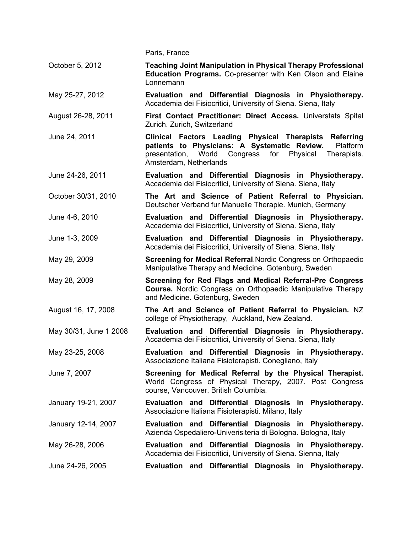|                        | Paris, France                                                                                                                                                                                                            |
|------------------------|--------------------------------------------------------------------------------------------------------------------------------------------------------------------------------------------------------------------------|
| October 5, 2012        | <b>Teaching Joint Manipulation in Physical Therapy Professional</b><br>Education Programs. Co-presenter with Ken Olson and Elaine<br>Lonnemann                                                                           |
| May 25-27, 2012        | Evaluation and Differential Diagnosis in Physiotherapy.<br>Accademia dei Fisiocritici, University of Siena. Siena, Italy                                                                                                 |
| August 26-28, 2011     | First Contact Practitioner: Direct Access. Universtats Spital<br>Zurich. Zurich, Switzerland                                                                                                                             |
| June 24, 2011          | Clinical Factors Leading Physical Therapists<br><b>Referring</b><br>patients to Physicians: A Systematic Review.<br>Platform<br>presentation, World Congress<br>for<br>Physical<br>Therapists.<br>Amsterdam, Netherlands |
| June 24-26, 2011       | Evaluation and Differential Diagnosis in Physiotherapy.<br>Accademia dei Fisiocritici, University of Siena. Siena, Italy                                                                                                 |
| October 30/31, 2010    | The Art and Science of Patient Referral to Physician.<br>Deutscher Verband fur Manuelle Therapie. Munich, Germany                                                                                                        |
| June 4-6, 2010         | Evaluation and Differential Diagnosis in Physiotherapy.<br>Accademia dei Fisiocritici, University of Siena. Siena, Italy                                                                                                 |
| June 1-3, 2009         | Evaluation and Differential Diagnosis in Physiotherapy.<br>Accademia dei Fisiocritici, University of Siena. Siena, Italy                                                                                                 |
| May 29, 2009           | Screening for Medical Referral. Nordic Congress on Orthopaedic<br>Manipulative Therapy and Medicine. Gotenburg, Sweden                                                                                                   |
| May 28, 2009           | Screening for Red Flags and Medical Referral-Pre Congress<br>Course. Nordic Congress on Orthopaedic Manipulative Therapy<br>and Medicine. Gotenburg, Sweden                                                              |
| August 16, 17, 2008    | The Art and Science of Patient Referral to Physician. NZ<br>college of Physiotherapy, Auckland, New Zealand.                                                                                                             |
| May 30/31, June 1 2008 | Evaluation and Differential Diagnosis in Physiotherapy.<br>Accademia dei Fisiocritici, University of Siena. Siena, Italy                                                                                                 |
| May 23-25, 2008        | Evaluation and Differential Diagnosis in Physiotherapy.<br>Associazione Italiana Fisioterapisti. Conegliano, Italy                                                                                                       |
| June 7, 2007           | Screening for Medical Referral by the Physical Therapist.<br>World Congress of Physical Therapy, 2007. Post Congress<br>course, Vancouver, British Columbia.                                                             |
| January 19-21, 2007    | Evaluation and Differential Diagnosis in Physiotherapy.<br>Associazione Italiana Fisioterapisti. Milano, Italy                                                                                                           |
| January 12-14, 2007    | Evaluation and Differential Diagnosis in Physiotherapy.<br>Azienda Ospedaliero-Univerisiteria di Bologna. Bologna, Italy                                                                                                 |
| May 26-28, 2006        | Evaluation and Differential Diagnosis in Physiotherapy.<br>Accademia dei Fisiocritici, University of Siena. Sienna, Italy                                                                                                |
| June 24-26, 2005       | Evaluation and Differential Diagnosis in Physiotherapy.                                                                                                                                                                  |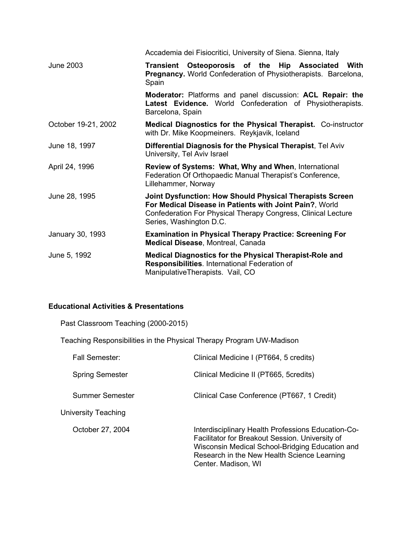|                     | Accademia dei Fisiocritici, University of Siena. Sienna, Italy                                                                                                                                                  |
|---------------------|-----------------------------------------------------------------------------------------------------------------------------------------------------------------------------------------------------------------|
| <b>June 2003</b>    | Transient Osteoporosis of the Hip Associated<br>With<br>Pregnancy. World Confederation of Physiotherapists. Barcelona,<br>Spain                                                                                 |
|                     | Moderator: Platforms and panel discussion: ACL Repair: the<br>Latest Evidence. World Confederation of Physiotherapists.<br>Barcelona, Spain                                                                     |
| October 19-21, 2002 | Medical Diagnostics for the Physical Therapist. Co-instructor<br>with Dr. Mike Koopmeiners. Reykjavik, Iceland                                                                                                  |
| June 18, 1997       | Differential Diagnosis for the Physical Therapist, Tel Aviv<br>University, Tel Aviv Israel                                                                                                                      |
| April 24, 1996      | <b>Review of Systems: What, Why and When, International</b><br>Federation Of Orthopaedic Manual Therapist's Conference,<br>Lillehammer, Norway                                                                  |
| June 28, 1995       | Joint Dysfunction: How Should Physical Therapists Screen<br>For Medical Disease in Patients with Joint Pain?, World<br>Confederation For Physical Therapy Congress, Clinical Lecture<br>Series, Washington D.C. |
| January 30, 1993    | <b>Examination in Physical Therapy Practice: Screening For</b><br><b>Medical Disease, Montreal, Canada</b>                                                                                                      |
| June 5, 1992        | <b>Medical Diagnostics for the Physical Therapist-Role and</b><br>Responsibilities. International Federation of<br>ManipulativeTherapists. Vail, CO                                                             |

# **Educational Activities & Presentations**

Past Classroom Teaching (2000-2015)

| Teaching Responsibilities in the Physical Therapy Program UW-Madison |                                                                                                                                                                                                                                |
|----------------------------------------------------------------------|--------------------------------------------------------------------------------------------------------------------------------------------------------------------------------------------------------------------------------|
| Fall Semester:                                                       | Clinical Medicine I (PT664, 5 credits)                                                                                                                                                                                         |
| <b>Spring Semester</b>                                               | Clinical Medicine II (PT665, 5credits)                                                                                                                                                                                         |
| Summer Semester                                                      | Clinical Case Conference (PT667, 1 Credit)                                                                                                                                                                                     |
| University Teaching                                                  |                                                                                                                                                                                                                                |
| October 27, 2004                                                     | Interdisciplinary Health Professions Education-Co-<br>Facilitator for Breakout Session. University of<br>Wisconsin Medical School-Bridging Education and<br>Research in the New Health Science Learning<br>Center. Madison, WI |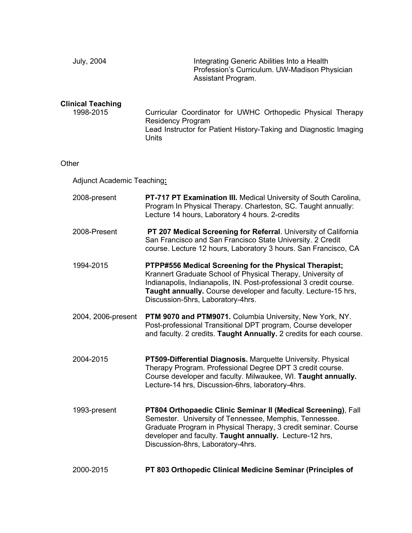| <b>July, 2004</b>                     | Integrating Generic Abilities Into a Health<br>Profession's Curriculum. UW-Madison Physician<br>Assistant Program.                                                                                                                                                                                 |
|---------------------------------------|----------------------------------------------------------------------------------------------------------------------------------------------------------------------------------------------------------------------------------------------------------------------------------------------------|
| <b>Clinical Teaching</b><br>1998-2015 | Curricular Coordinator for UWHC Orthopedic Physical Therapy<br><b>Residency Program</b><br>Lead Instructor for Patient History-Taking and Diagnostic Imaging<br><b>Units</b>                                                                                                                       |
| Other                                 |                                                                                                                                                                                                                                                                                                    |
| Adjunct Academic Teaching:            |                                                                                                                                                                                                                                                                                                    |
| 2008-present                          | PT-717 PT Examination III. Medical University of South Carolina,<br>Program In Physical Therapy. Charleston, SC. Taught annually:<br>Lecture 14 hours, Laboratory 4 hours. 2-credits                                                                                                               |
| 2008-Present                          | PT 207 Medical Screening for Referral. University of California<br>San Francisco and San Francisco State University. 2 Credit<br>course. Lecture 12 hours, Laboratory 3 hours. San Francisco, CA                                                                                                   |
| 1994-2015                             | PTPP#556 Medical Screening for the Physical Therapist;<br>Krannert Graduate School of Physical Therapy, University of<br>Indianapolis, Indianapolis, IN. Post-professional 3 credit course.<br>Taught annually. Course developer and faculty. Lecture-15 hrs,<br>Discussion-5hrs, Laboratory-4hrs. |
| 2004, 2006-present                    | PTM 9070 and PTM9071. Columbia University, New York, NY.<br>Post-professional Transitional DPT program, Course developer<br>and faculty. 2 credits. Taught Annually. 2 credits for each course.                                                                                                    |
| 2004-2015                             | PT509-Differential Diagnosis. Marquette University. Physical<br>Therapy Program. Professional Degree DPT 3 credit course.<br>Course developer and faculty. Milwaukee, WI. Taught annually.<br>Lecture-14 hrs, Discussion-6hrs, laboratory-4hrs.                                                    |
| 1993-present                          | PT804 Orthopaedic Clinic Seminar II (Medical Screening), Fall<br>Semester. University of Tennessee, Memphis, Tennessee.<br>Graduate Program in Physical Therapy, 3 credit seminar. Course<br>developer and faculty. Taught annually. Lecture-12 hrs,<br>Discussion-8hrs, Laboratory-4hrs.          |
| 2000-2015                             | PT 803 Orthopedic Clinical Medicine Seminar (Principles of                                                                                                                                                                                                                                         |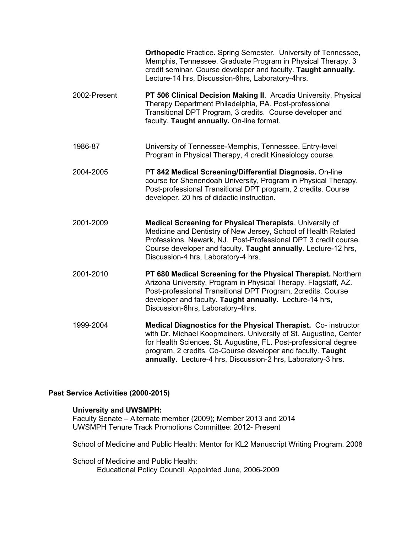|              | <b>Orthopedic</b> Practice. Spring Semester. University of Tennessee,<br>Memphis, Tennessee. Graduate Program in Physical Therapy, 3<br>credit seminar. Course developer and faculty. Taught annually.<br>Lecture-14 hrs, Discussion-6hrs, Laboratory-4hrs.                                                                            |
|--------------|----------------------------------------------------------------------------------------------------------------------------------------------------------------------------------------------------------------------------------------------------------------------------------------------------------------------------------------|
| 2002-Present | PT 506 Clinical Decision Making II. Arcadia University, Physical<br>Therapy Department Philadelphia, PA. Post-professional<br>Transitional DPT Program, 3 credits. Course developer and<br>faculty. Taught annually. On-line format.                                                                                                   |
| 1986-87      | University of Tennessee-Memphis, Tennessee. Entry-level<br>Program in Physical Therapy, 4 credit Kinesiology course.                                                                                                                                                                                                                   |
| 2004-2005    | PT 842 Medical Screening/Differential Diagnosis. On-line<br>course for Shenendoah University, Program in Physical Therapy.<br>Post-professional Transitional DPT program, 2 credits. Course<br>developer. 20 hrs of didactic instruction.                                                                                              |
| 2001-2009    | Medical Screening for Physical Therapists. University of<br>Medicine and Dentistry of New Jersey, School of Health Related<br>Professions. Newark, NJ. Post-Professional DPT 3 credit course.<br>Course developer and faculty. Taught annually. Lecture-12 hrs,<br>Discussion-4 hrs, Laboratory-4 hrs.                                 |
| 2001-2010    | PT 680 Medical Screening for the Physical Therapist. Northern<br>Arizona University, Program in Physical Therapy. Flagstaff, AZ.<br>Post-professional Transitional DPT Program, 2credits. Course<br>developer and faculty. Taught annually. Lecture-14 hrs,<br>Discussion-6hrs, Laboratory-4hrs.                                       |
| 1999-2004    | Medical Diagnostics for the Physical Therapist. Co- instructor<br>with Dr. Michael Koopmeiners. University of St. Augustine, Center<br>for Health Sciences. St. Augustine, FL. Post-professional degree<br>program, 2 credits. Co-Course developer and faculty. Taught<br>annually. Lecture-4 hrs, Discussion-2 hrs, Laboratory-3 hrs. |

## **Past Service Activities (2000-2015)**

## **University and UWSMPH:**

Faculty Senate – Alternate member (2009); Member 2013 and 2014 UWSMPH Tenure Track Promotions Committee: 2012- Present

School of Medicine and Public Health: Mentor for KL2 Manuscript Writing Program. 2008

School of Medicine and Public Health: Educational Policy Council. Appointed June, 2006-2009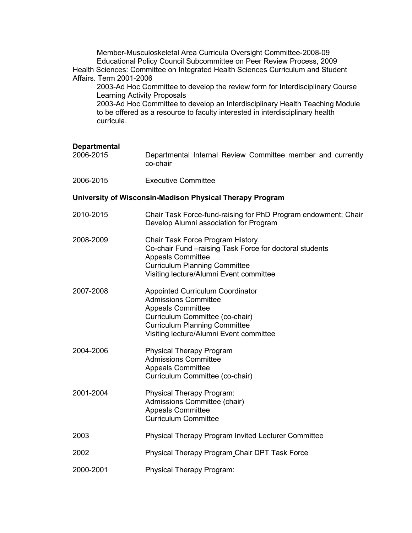Member-Musculoskeletal Area Curricula Oversight Committee-2008-09 Educational Policy Council Subcommittee on Peer Review Process, 2009 Health Sciences: Committee on Integrated Health Sciences Curriculum and Student Affairs. Term 2001-2006

2003-Ad Hoc Committee to develop the review form for Interdisciplinary Course Learning Activity Proposals

2003-Ad Hoc Committee to develop an Interdisciplinary Health Teaching Module to be offered as a resource to faculty interested in interdisciplinary health curricula.

# **Departmental**

Departmental Internal Review Committee member and currently co-chair

| 2006-2015                                                | Executive Committee                                                                                                                                                                                         |  |
|----------------------------------------------------------|-------------------------------------------------------------------------------------------------------------------------------------------------------------------------------------------------------------|--|
| University of Wisconsin-Madison Physical Therapy Program |                                                                                                                                                                                                             |  |
| 2010-2015                                                | Chair Task Force-fund-raising for PhD Program endowment; Chair<br>Develop Alumni association for Program                                                                                                    |  |
| 2008-2009                                                | Chair Task Force Program History<br>Co-chair Fund - raising Task Force for doctoral students<br><b>Appeals Committee</b><br><b>Curriculum Planning Committee</b><br>Visiting lecture/Alumni Event committee |  |
| 2007-2008                                                | <b>Appointed Curriculum Coordinator</b><br><b>Admissions Committee</b><br><b>Appeals Committee</b>                                                                                                          |  |

- Curriculum Committee (co-chair) Curriculum Planning Committee Visiting lecture/Alumni Event committee
- 2004-2006 Physical Therapy Program Admissions Committee Appeals Committee Curriculum Committee (co-chair)
- 2001-2004 Physical Therapy Program: Admissions Committee (chair) Appeals Committee Curriculum Committee 2003 Physical Therapy Program Invited Lecturer Committee
- 2002 Physical Therapy Program Chair DPT Task Force
- 2000-2001 Physical Therapy Program: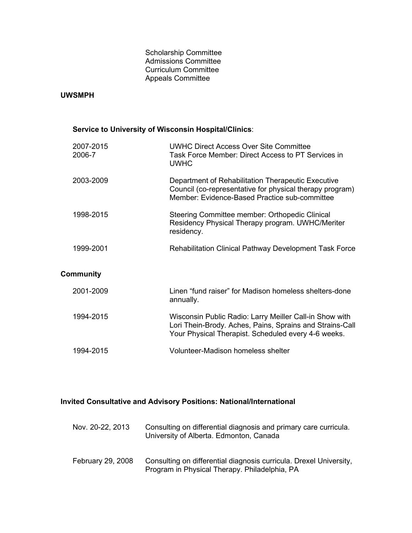#### Scholarship Committee Admissions Committee Curriculum Committee Appeals Committee

#### **UWSMPH**

## **Service to University of Wisconsin Hospital/Clinics**:

| 2007-2015<br>2006-7 | <b>UWHC Direct Access Over Site Committee</b><br>Task Force Member: Direct Access to PT Services in<br><b>UWHC</b>                                                         |
|---------------------|----------------------------------------------------------------------------------------------------------------------------------------------------------------------------|
| 2003-2009           | Department of Rehabilitation Therapeutic Executive<br>Council (co-representative for physical therapy program)<br>Member: Evidence-Based Practice sub-committee            |
| 1998-2015           | Steering Committee member: Orthopedic Clinical<br>Residency Physical Therapy program. UWHC/Meriter<br>residency.                                                           |
| 1999-2001           | <b>Rehabilitation Clinical Pathway Development Task Force</b>                                                                                                              |
| <b>Community</b>    |                                                                                                                                                                            |
| 2001-2009           | Linen "fund raiser" for Madison homeless shelters-done<br>annually.                                                                                                        |
| 1994-2015           | Wisconsin Public Radio: Larry Meiller Call-in Show with<br>Lori Thein-Brody. Aches, Pains, Sprains and Strains-Call<br>Your Physical Therapist. Scheduled every 4-6 weeks. |
| 1994-2015           | <b>Volunteer-Madison homeless shelter</b>                                                                                                                                  |
|                     |                                                                                                                                                                            |

# **Invited Consultative and Advisory Positions: National/International**

| Nov. 20-22, 2013         | Consulting on differential diagnosis and primary care curricula.<br>University of Alberta. Edmonton, Canada         |
|--------------------------|---------------------------------------------------------------------------------------------------------------------|
| <b>February 29, 2008</b> | Consulting on differential diagnosis curricula. Drexel University,<br>Program in Physical Therapy. Philadelphia, PA |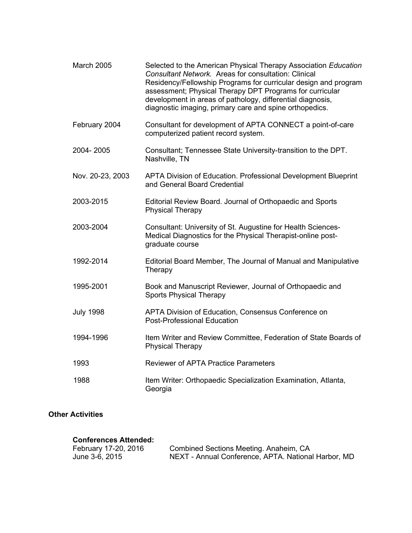| <b>March 2005</b> | Selected to the American Physical Therapy Association Education<br>Consultant Network. Areas for consultation: Clinical<br>Residency/Fellowship Programs for curricular design and program<br>assessment; Physical Therapy DPT Programs for curricular<br>development in areas of pathology, differential diagnosis,<br>diagnostic imaging, primary care and spine orthopedics. |
|-------------------|---------------------------------------------------------------------------------------------------------------------------------------------------------------------------------------------------------------------------------------------------------------------------------------------------------------------------------------------------------------------------------|
| February 2004     | Consultant for development of APTA CONNECT a point-of-care<br>computerized patient record system.                                                                                                                                                                                                                                                                               |
| 2004-2005         | Consultant; Tennessee State University-transition to the DPT.<br>Nashville, TN                                                                                                                                                                                                                                                                                                  |
| Nov. 20-23, 2003  | APTA Division of Education. Professional Development Blueprint<br>and General Board Credential                                                                                                                                                                                                                                                                                  |
| 2003-2015         | Editorial Review Board. Journal of Orthopaedic and Sports<br><b>Physical Therapy</b>                                                                                                                                                                                                                                                                                            |
| 2003-2004         | Consultant: University of St. Augustine for Health Sciences-<br>Medical Diagnostics for the Physical Therapist-online post-<br>graduate course                                                                                                                                                                                                                                  |
| 1992-2014         | Editorial Board Member, The Journal of Manual and Manipulative<br>Therapy                                                                                                                                                                                                                                                                                                       |
| 1995-2001         | Book and Manuscript Reviewer, Journal of Orthopaedic and<br><b>Sports Physical Therapy</b>                                                                                                                                                                                                                                                                                      |
| <b>July 1998</b>  | APTA Division of Education, Consensus Conference on<br><b>Post-Professional Education</b>                                                                                                                                                                                                                                                                                       |
| 1994-1996         | Item Writer and Review Committee, Federation of State Boards of<br><b>Physical Therapy</b>                                                                                                                                                                                                                                                                                      |
| 1993              | <b>Reviewer of APTA Practice Parameters</b>                                                                                                                                                                                                                                                                                                                                     |
| 1988              | Item Writer: Orthopaedic Specialization Examination, Atlanta,<br>Georgia                                                                                                                                                                                                                                                                                                        |

# **Other Activities**

#### **Conferences Attended:**

| February 17-20, 2016 | Combined Sections Meeting. Anaheim, CA              |
|----------------------|-----------------------------------------------------|
| June 3-6, 2015       | NEXT - Annual Conference, APTA. National Harbor, MD |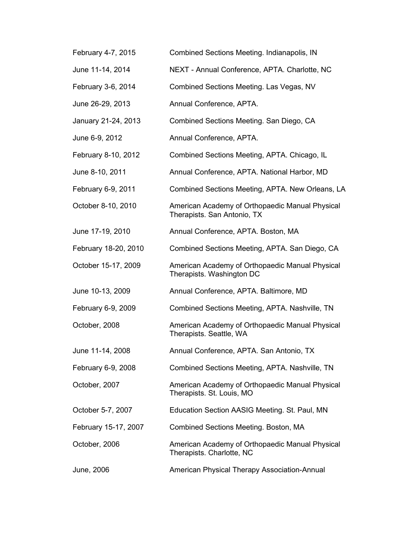| February 4-7, 2015   | Combined Sections Meeting. Indianapolis, IN                                    |
|----------------------|--------------------------------------------------------------------------------|
| June 11-14, 2014     | NEXT - Annual Conference, APTA. Charlotte, NC                                  |
| February 3-6, 2014   | Combined Sections Meeting. Las Vegas, NV                                       |
| June 26-29, 2013     | Annual Conference, APTA.                                                       |
| January 21-24, 2013  | Combined Sections Meeting. San Diego, CA                                       |
| June 6-9, 2012       | Annual Conference, APTA.                                                       |
| February 8-10, 2012  | Combined Sections Meeting, APTA. Chicago, IL                                   |
| June 8-10, 2011      | Annual Conference, APTA. National Harbor, MD                                   |
| February 6-9, 2011   | Combined Sections Meeting, APTA. New Orleans, LA                               |
| October 8-10, 2010   | American Academy of Orthopaedic Manual Physical<br>Therapists. San Antonio, TX |
| June 17-19, 2010     | Annual Conference, APTA. Boston, MA                                            |
| February 18-20, 2010 | Combined Sections Meeting, APTA. San Diego, CA                                 |
| October 15-17, 2009  | American Academy of Orthopaedic Manual Physical<br>Therapists. Washington DC   |
| June 10-13, 2009     | Annual Conference, APTA. Baltimore, MD                                         |
| February 6-9, 2009   | Combined Sections Meeting, APTA. Nashville, TN                                 |
| October, 2008        | American Academy of Orthopaedic Manual Physical<br>Therapists. Seattle, WA     |
| June 11-14, 2008     | Annual Conference, APTA. San Antonio, TX                                       |
| February 6-9, 2008   | Combined Sections Meeting, APTA. Nashville, TN                                 |
| October, 2007        | American Academy of Orthopaedic Manual Physical<br>Therapists. St. Louis, MO   |
| October 5-7, 2007    | Education Section AASIG Meeting. St. Paul, MN                                  |
| February 15-17, 2007 | Combined Sections Meeting. Boston, MA                                          |
| October, 2006        | American Academy of Orthopaedic Manual Physical<br>Therapists. Charlotte, NC   |
| June, 2006           | American Physical Therapy Association-Annual                                   |
|                      |                                                                                |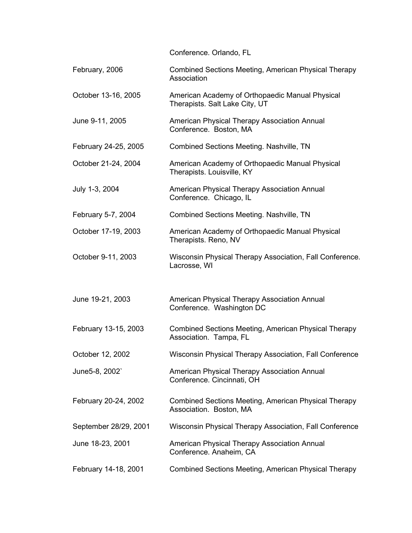Conference. Orlando, FL February, 2006 **Combined Sections Meeting, American Physical Therapy Association** October 13-16, 2005 American Academy of Orthopaedic Manual Physical Therapists. Salt Lake City, UT June 9-11, 2005 American Physical Therapy Association Annual Conference. Boston, MA February 24-25, 2005 Combined Sections Meeting. Nashville, TN October 21-24, 2004 American Academy of Orthopaedic Manual Physical Therapists. Louisville, KY July 1-3, 2004 American Physical Therapy Association Annual Conference. Chicago, IL February 5-7, 2004 Combined Sections Meeting. Nashville, TN October 17-19, 2003 American Academy of Orthopaedic Manual Physical Therapists. Reno, NV October 9-11, 2003 Wisconsin Physical Therapy Association, Fall Conference. Lacrosse, WI June 19-21, 2003 American Physical Therapy Association Annual Conference. Washington DC February 13-15, 2003 Combined Sections Meeting, American Physical Therapy Association. Tampa, FL October 12, 2002 Wisconsin Physical Therapy Association, Fall Conference June5-8, 2002` American Physical Therapy Association Annual Conference. Cincinnati, OH February 20-24, 2002 Combined Sections Meeting, American Physical Therapy Association. Boston, MA September 28/29, 2001 Wisconsin Physical Therapy Association, Fall Conference June 18-23, 2001 American Physical Therapy Association Annual Conference. Anaheim, CA February 14-18, 2001 Combined Sections Meeting, American Physical Therapy